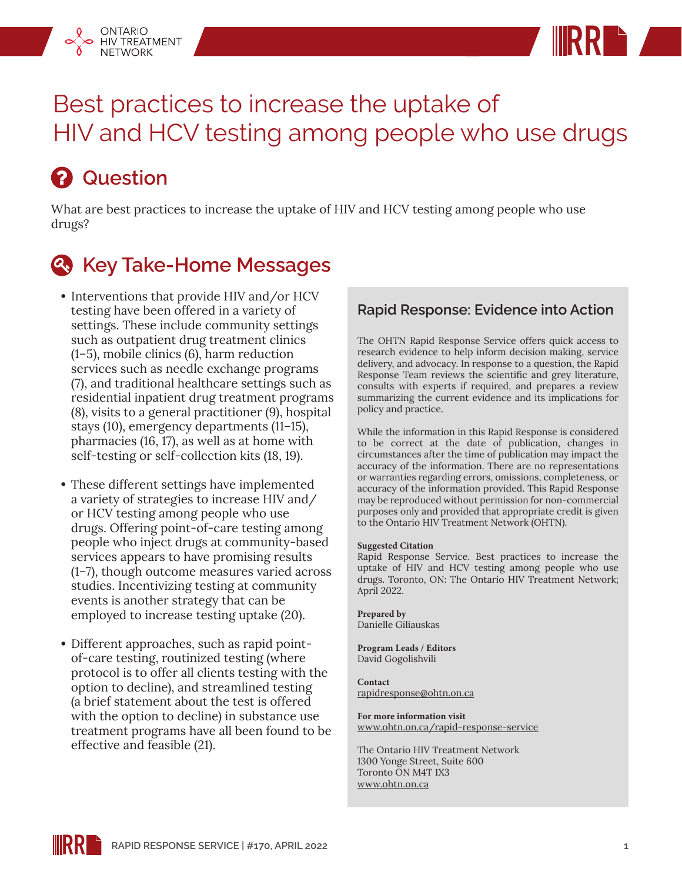



# Best practices to increase the uptake of HIV and HCV testing among people who use drugs

# *A* Question

What are best practices to increase the uptake of HIV and HCV testing among people who use drugs?

### **Key Take-Home Messages**

- **•** Interventions that provide HIV and/or HCV testing have been offered in a variety of settings. These include community settings such as outpatient drug treatment clinics (1–5), mobile clinics (6), harm reduction services such as needle exchange programs (7), and traditional healthcare settings such as residential inpatient drug treatment programs (8), visits to a general practitioner (9), hospital stays (10), emergency departments (11–15), pharmacies (16, 17), as well as at home with self-testing or self-collection kits (18, 19).
- **•** These different settings have implemented a variety of strategies to increase HIV and/ or HCV testing among people who use drugs. Offering point-of-care testing among people who inject drugs at community-based services appears to have promising results (1–7), though outcome measures varied across studies. Incentivizing testing at community events is another strategy that can be employed to increase testing uptake (20).
- **•** Different approaches, such as rapid pointof-care testing, routinized testing (where protocol is to offer all clients testing with the option to decline), and streamlined testing (a brief statement about the test is offered with the option to decline) in substance use treatment programs have all been found to be effective and feasible (21).

#### **Rapid Response: Evidence into Action**

The OHTN Rapid Response Service offers quick access to research evidence to help inform decision making, service delivery, and advocacy. In response to a question, the Rapid Response Team reviews the scientific and grey literature, consults with experts if required, and prepares a review summarizing the current evidence and its implications for policy and practice.

While the information in this Rapid Response is considered to be correct at the date of publication, changes in circumstances after the time of publication may impact the accuracy of the information. There are no representations or warranties regarding errors, omissions, completeness, or accuracy of the information provided. This Rapid Response may be reproduced without permission for non-commercial purposes only and provided that appropriate credit is given to the Ontario HIV Treatment Network (OHTN).

#### **Suggested Citation**

Rapid Response Service. Best practices to increase the uptake of HIV and HCV testing among people who use drugs. Toronto, ON: The Ontario HIV Treatment Network; April 2022.

**Prepared by** Danielle Giliauskas

**Program Leads / Editors** David Gogolishvili

**Contact** rapidresponse@ohtn.on.ca

**For more information visit** [www.ohtn.on.ca/rapid-response-service](http://www.ohtn.on.ca/rapid-response-service)

The Ontario HIV Treatment Network 1300 Yonge Street, Suite 600 Toronto ON M4T 1X3 www.ohtn.on.ca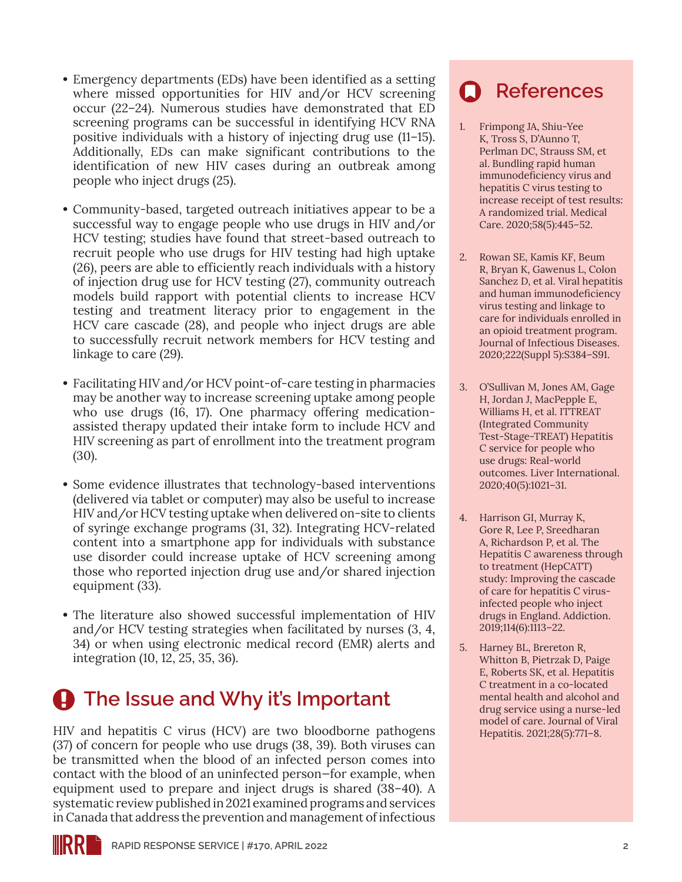- **•** Emergency departments (EDs) have been identified as a setting where missed opportunities for HIV and/or HCV screening occur (22–24). Numerous studies have demonstrated that ED screening programs can be successful in identifying HCV RNA positive individuals with a history of injecting drug use (11–15). Additionally, EDs can make significant contributions to the identification of new HIV cases during an outbreak among people who inject drugs (25).
- **•** Community-based, targeted outreach initiatives appear to be a successful way to engage people who use drugs in HIV and/or HCV testing; studies have found that street-based outreach to recruit people who use drugs for HIV testing had high uptake (26), peers are able to efficiently reach individuals with a history of injection drug use for HCV testing (27), community outreach models build rapport with potential clients to increase HCV testing and treatment literacy prior to engagement in the HCV care cascade (28), and people who inject drugs are able to successfully recruit network members for HCV testing and linkage to care (29).
- **•** Facilitating HIV and/or HCV point-of-care testing in pharmacies may be another way to increase screening uptake among people who use drugs (16, 17). One pharmacy offering medicationassisted therapy updated their intake form to include HCV and HIV screening as part of enrollment into the treatment program (30).
- **•** Some evidence illustrates that technology-based interventions (delivered via tablet or computer) may also be useful to increase HIV and/or HCV testing uptake when delivered on-site to clients of syringe exchange programs (31, 32). Integrating HCV-related content into a smartphone app for individuals with substance use disorder could increase uptake of HCV screening among those who reported injection drug use and/or shared injection equipment (33).
- **•** The literature also showed successful implementation of HIV and/or HCV testing strategies when facilitated by nurses (3, 4, 34) or when using electronic medical record (EMR) alerts and integration (10, 12, 25, 35, 36).

## **A** The Issue and Why it's Important

HIV and hepatitis C virus (HCV) are two bloodborne pathogens (37) of concern for people who use drugs (38, 39). Both viruses can be transmitted when the blood of an infected person comes into contact with the blood of an uninfected person—for example, when equipment used to prepare and inject drugs is shared (38–40). A systematic review published in 2021 examined programs and services in Canada that address the prevention and management of infectious

### **References**

- 1. Frimpong JA, Shiu-Yee K, Tross S, D'Aunno T, Perlman DC, Strauss SM, et al. Bundling rapid human immunodeficiency virus and hepatitis C virus testing to increase receipt of test results: A randomized trial. Medical Care. 2020;58(5):445–52.
- 2. Rowan SE, Kamis KF, Beum R, Bryan K, Gawenus L, Colon Sanchez D, et al. Viral hepatitis and human immunodeficiency virus testing and linkage to care for individuals enrolled in an opioid treatment program. Journal of Infectious Diseases. 2020;222(Suppl 5):S384–S91.
- 3. O'Sullivan M, Jones AM, Gage H, Jordan J, MacPepple E, Williams H, et al. ITTREAT (Integrated Community Test-Stage-TREAT) Hepatitis C service for people who use drugs: Real-world outcomes. Liver International. 2020;40(5):1021–31.
- 4. Harrison GI, Murray K, Gore R, Lee P, Sreedharan A, Richardson P, et al. The Hepatitis C awareness through to treatment (HepCATT) study: Improving the cascade of care for hepatitis C virusinfected people who inject drugs in England. Addiction. 2019;114(6):1113–22.
- 5. Harney BL, Brereton R, Whitton B, Pietrzak D, Paige E, Roberts SK, et al. Hepatitis C treatment in a co-located mental health and alcohol and drug service using a nurse-led model of care. Journal of Viral Hepatitis. 2021;28(5):771–8.

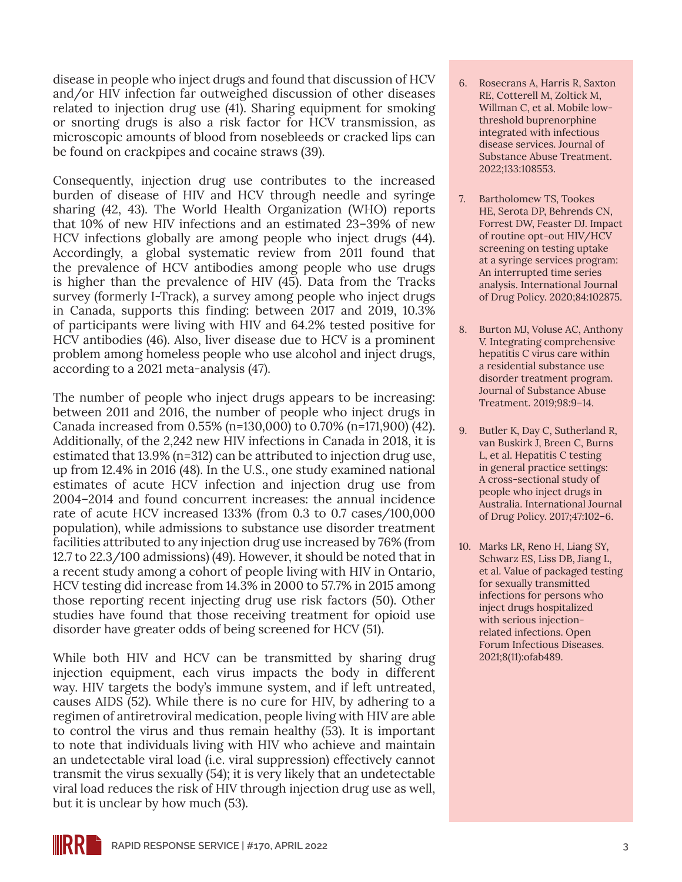disease in people who inject drugs and found that discussion of HCV and/or HIV infection far outweighed discussion of other diseases related to injection drug use (41). Sharing equipment for smoking or snorting drugs is also a risk factor for HCV transmission, as microscopic amounts of blood from nosebleeds or cracked lips can be found on crackpipes and cocaine straws (39).

Consequently, injection drug use contributes to the increased burden of disease of HIV and HCV through needle and syringe sharing (42, 43). The World Health Organization (WHO) reports that 10% of new HIV infections and an estimated 23–39% of new HCV infections globally are among people who inject drugs (44). Accordingly, a global systematic review from 2011 found that the prevalence of HCV antibodies among people who use drugs is higher than the prevalence of HIV (45). Data from the Tracks survey (formerly I-Track), a survey among people who inject drugs in Canada, supports this finding: between 2017 and 2019, 10.3% of participants were living with HIV and 64.2% tested positive for HCV antibodies (46). Also, liver disease due to HCV is a prominent problem among homeless people who use alcohol and inject drugs, according to a 2021 meta-analysis (47).

The number of people who inject drugs appears to be increasing: between 2011 and 2016, the number of people who inject drugs in Canada increased from 0.55% (n=130,000) to 0.70% (n=171,900) (42). Additionally, of the 2,242 new HIV infections in Canada in 2018, it is estimated that 13.9% (n=312) can be attributed to injection drug use, up from 12.4% in 2016 (48). In the U.S., one study examined national estimates of acute HCV infection and injection drug use from 2004–2014 and found concurrent increases: the annual incidence rate of acute HCV increased 133% (from 0.3 to 0.7 cases/100,000 population), while admissions to substance use disorder treatment facilities attributed to any injection drug use increased by 76% (from 12.7 to 22.3/100 admissions) (49). However, it should be noted that in a recent study among a cohort of people living with HIV in Ontario, HCV testing did increase from 14.3% in 2000 to 57.7% in 2015 among those reporting recent injecting drug use risk factors (50). Other studies have found that those receiving treatment for opioid use disorder have greater odds of being screened for HCV (51).

While both HIV and HCV can be transmitted by sharing drug injection equipment, each virus impacts the body in different way. HIV targets the body's immune system, and if left untreated, causes AIDS (52). While there is no cure for HIV, by adhering to a regimen of antiretroviral medication, people living with HIV are able to control the virus and thus remain healthy (53). It is important to note that individuals living with HIV who achieve and maintain an undetectable viral load (i.e. viral suppression) effectively cannot transmit the virus sexually (54); it is very likely that an undetectable viral load reduces the risk of HIV through injection drug use as well, but it is unclear by how much (53).

- 6. Rosecrans A, Harris R, Saxton RE, Cotterell M, Zoltick M, Willman C, et al. Mobile lowthreshold buprenorphine integrated with infectious disease services. Journal of Substance Abuse Treatment. 2022;133:108553.
- 7. Bartholomew TS, Tookes HE, Serota DP, Behrends CN, Forrest DW, Feaster DJ. Impact of routine opt-out HIV/HCV screening on testing uptake at a syringe services program: An interrupted time series analysis. International Journal of Drug Policy. 2020;84:102875.
- 8. Burton MJ, Voluse AC, Anthony V. Integrating comprehensive hepatitis C virus care within a residential substance use disorder treatment program. Journal of Substance Abuse Treatment. 2019;98:9–14.
- 9. Butler K, Day C, Sutherland R, van Buskirk J, Breen C, Burns L, et al. Hepatitis C testing in general practice settings: A cross-sectional study of people who inject drugs in Australia. International Journal of Drug Policy. 2017;47:102–6.
- 10. Marks LR, Reno H, Liang SY, Schwarz ES, Liss DB, Jiang L, et al. Value of packaged testing for sexually transmitted infections for persons who inject drugs hospitalized with serious injectionrelated infections. Open Forum Infectious Diseases. 2021;8(11):ofab489.

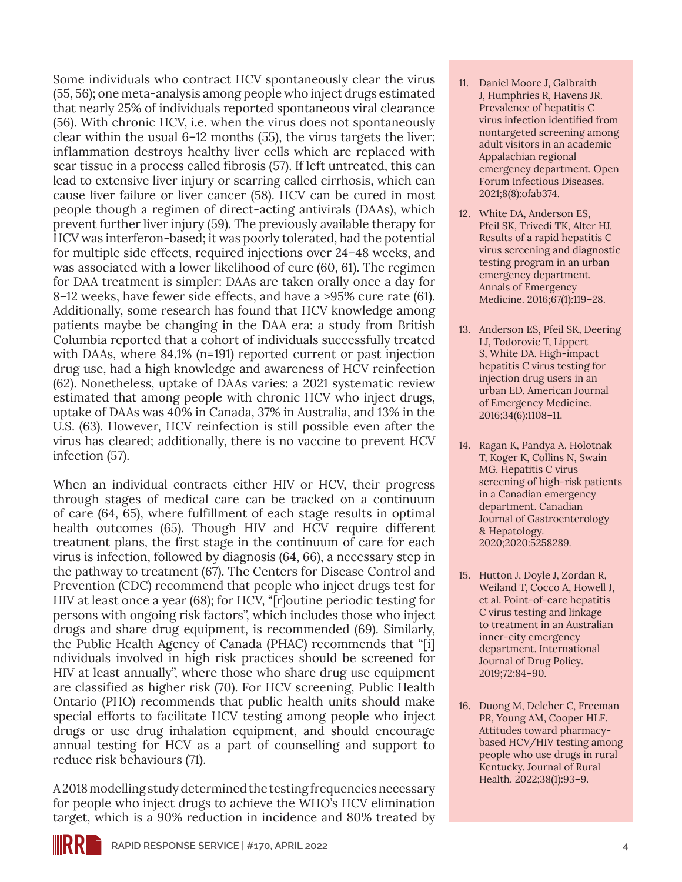Some individuals who contract HCV spontaneously clear the virus (55, 56); one meta-analysis among people who inject drugs estimated that nearly 25% of individuals reported spontaneous viral clearance (56). With chronic HCV, i.e. when the virus does not spontaneously clear within the usual 6–12 months (55), the virus targets the liver: inflammation destroys healthy liver cells which are replaced with scar tissue in a process called fibrosis (57). If left untreated, this can lead to extensive liver injury or scarring called cirrhosis, which can cause liver failure or liver cancer (58). HCV can be cured in most people though a regimen of direct-acting antivirals (DAAs), which prevent further liver injury (59). The previously available therapy for HCV was interferon-based; it was poorly tolerated, had the potential for multiple side effects, required injections over 24–48 weeks, and was associated with a lower likelihood of cure (60, 61). The regimen for DAA treatment is simpler: DAAs are taken orally once a day for 8–12 weeks, have fewer side effects, and have a >95% cure rate (61). Additionally, some research has found that HCV knowledge among patients maybe be changing in the DAA era: a study from British Columbia reported that a cohort of individuals successfully treated with DAAs, where 84.1% (n=191) reported current or past injection drug use, had a high knowledge and awareness of HCV reinfection (62). Nonetheless, uptake of DAAs varies: a 2021 systematic review estimated that among people with chronic HCV who inject drugs, uptake of DAAs was 40% in Canada, 37% in Australia, and 13% in the U.S. (63). However, HCV reinfection is still possible even after the virus has cleared; additionally, there is no vaccine to prevent HCV infection (57).

When an individual contracts either HIV or HCV, their progress through stages of medical care can be tracked on a continuum of care (64, 65), where fulfillment of each stage results in optimal health outcomes (65). Though HIV and HCV require different treatment plans, the first stage in the continuum of care for each virus is infection, followed by diagnosis (64, 66), a necessary step in the pathway to treatment (67). The Centers for Disease Control and Prevention (CDC) recommend that people who inject drugs test for HIV at least once a year (68); for HCV, "[r]outine periodic testing for persons with ongoing risk factors", which includes those who inject drugs and share drug equipment, is recommended (69). Similarly, the Public Health Agency of Canada (PHAC) recommends that "[i] ndividuals involved in high risk practices should be screened for HIV at least annually", where those who share drug use equipment are classified as higher risk (70). For HCV screening, Public Health Ontario (PHO) recommends that public health units should make special efforts to facilitate HCV testing among people who inject drugs or use drug inhalation equipment, and should encourage annual testing for HCV as a part of counselling and support to reduce risk behaviours (71).

A 2018 modelling study determined the testing frequencies necessary for people who inject drugs to achieve the WHO's HCV elimination target, which is a 90% reduction in incidence and 80% treated by

- 11. Daniel Moore J, Galbraith J, Humphries R, Havens JR. Prevalence of hepatitis C virus infection identified from nontargeted screening among adult visitors in an academic Appalachian regional emergency department. Open Forum Infectious Diseases. 2021;8(8):ofab374.
- 12. White DA, Anderson ES, Pfeil SK, Trivedi TK, Alter HJ. Results of a rapid hepatitis C virus screening and diagnostic testing program in an urban emergency department. Annals of Emergency Medicine. 2016;67(1):119–28.
- 13. Anderson ES, Pfeil SK, Deering LJ, Todorovic T, Lippert S, White DA. High-impact hepatitis C virus testing for injection drug users in an urban ED. American Journal of Emergency Medicine. 2016;34(6):1108–11.
- 14. Ragan K, Pandya A, Holotnak T, Koger K, Collins N, Swain MG. Hepatitis C virus screening of high-risk patients in a Canadian emergency department. Canadian Journal of Gastroenterology & Hepatology. 2020;2020:5258289.
- 15. Hutton J, Doyle J, Zordan R, Weiland T, Cocco A, Howell J, et al. Point-of-care hepatitis C virus testing and linkage to treatment in an Australian inner-city emergency department. International Journal of Drug Policy. 2019;72:84–90.
- 16. Duong M, Delcher C, Freeman PR, Young AM, Cooper HLF. Attitudes toward pharmacybased HCV/HIV testing among people who use drugs in rural Kentucky. Journal of Rural Health. 2022;38(1):93–9.

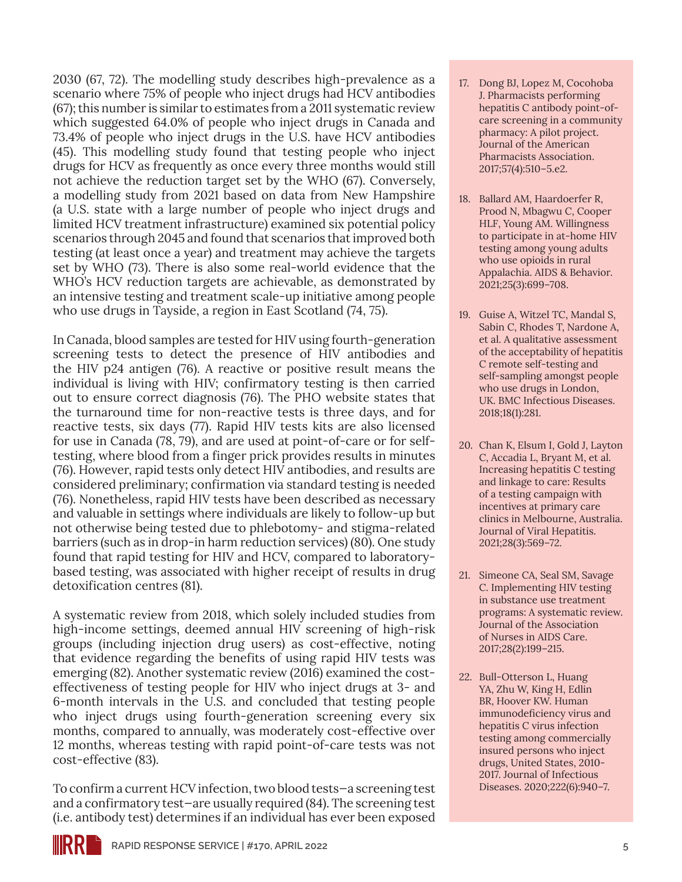2030 (67, 72). The modelling study describes high-prevalence as a scenario where 75% of people who inject drugs had HCV antibodies (67); this number is similar to estimates from a 2011 systematic review which suggested 64.0% of people who inject drugs in Canada and 73.4% of people who inject drugs in the U.S. have HCV antibodies (45). This modelling study found that testing people who inject drugs for HCV as frequently as once every three months would still not achieve the reduction target set by the WHO (67). Conversely, a modelling study from 2021 based on data from New Hampshire (a U.S. state with a large number of people who inject drugs and limited HCV treatment infrastructure) examined six potential policy scenarios through 2045 and found that scenarios that improved both testing (at least once a year) and treatment may achieve the targets set by WHO (73). There is also some real-world evidence that the WHO's HCV reduction targets are achievable, as demonstrated by an intensive testing and treatment scale-up initiative among people who use drugs in Tayside, a region in East Scotland (74, 75).

In Canada, blood samples are tested for HIV using fourth-generation screening tests to detect the presence of HIV antibodies and the HIV p24 antigen (76). A reactive or positive result means the individual is living with HIV; confirmatory testing is then carried out to ensure correct diagnosis (76). The PHO website states that the turnaround time for non-reactive tests is three days, and for reactive tests, six days (77). Rapid HIV tests kits are also licensed for use in Canada (78, 79), and are used at point-of-care or for selftesting, where blood from a finger prick provides results in minutes (76). However, rapid tests only detect HIV antibodies, and results are considered preliminary; confirmation via standard testing is needed (76). Nonetheless, rapid HIV tests have been described as necessary and valuable in settings where individuals are likely to follow-up but not otherwise being tested due to phlebotomy- and stigma-related barriers (such as in drop-in harm reduction services) (80). One study found that rapid testing for HIV and HCV, compared to laboratorybased testing, was associated with higher receipt of results in drug detoxification centres (81).

A systematic review from 2018, which solely included studies from high-income settings, deemed annual HIV screening of high-risk groups (including injection drug users) as cost-effective, noting that evidence regarding the benefits of using rapid HIV tests was emerging (82). Another systematic review (2016) examined the costeffectiveness of testing people for HIV who inject drugs at 3- and 6-month intervals in the U.S. and concluded that testing people who inject drugs using fourth-generation screening every six months, compared to annually, was moderately cost-effective over 12 months, whereas testing with rapid point-of-care tests was not cost-effective (83).

To confirm a current HCV infection, two blood tests—a screening test and a confirmatory test—are usually required (84). The screening test (i.e. antibody test) determines if an individual has ever been exposed

- 17. Dong BJ, Lopez M, Cocohoba J. Pharmacists performing hepatitis C antibody point-ofcare screening in a community pharmacy: A pilot project. Journal of the American Pharmacists Association. 2017;57(4):510–5.e2.
- 18. Ballard AM, Haardoerfer R, Prood N, Mbagwu C, Cooper HLF, Young AM. Willingness to participate in at-home HIV testing among young adults who use opioids in rural Appalachia. AIDS & Behavior. 2021;25(3):699–708.
- 19. Guise A, Witzel TC, Mandal S, Sabin C, Rhodes T, Nardone A, et al. A qualitative assessment of the acceptability of hepatitis C remote self-testing and self-sampling amongst people who use drugs in London, UK. BMC Infectious Diseases. 2018;18(1):281.
- 20. Chan K, Elsum I, Gold J, Layton C, Accadia L, Bryant M, et al. Increasing hepatitis C testing and linkage to care: Results of a testing campaign with incentives at primary care clinics in Melbourne, Australia. Journal of Viral Hepatitis. 2021;28(3):569–72.
- 21. Simeone CA, Seal SM, Savage C. Implementing HIV testing in substance use treatment programs: A systematic review. Journal of the Association of Nurses in AIDS Care. 2017;28(2):199–215.
- 22. Bull-Otterson L, Huang YA, Zhu W, King H, Edlin BR, Hoover KW. Human immunodeficiency virus and hepatitis C virus infection testing among commercially insured persons who inject drugs, United States, 2010- 2017. Journal of Infectious Diseases. 2020;222(6):940–7.

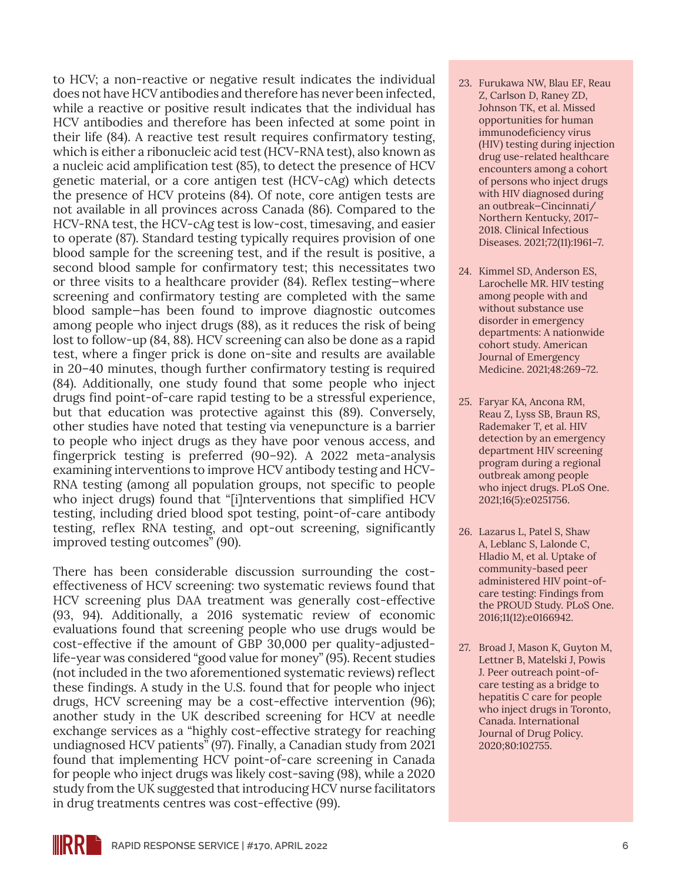to HCV; a non-reactive or negative result indicates the individual does not have HCV antibodies and therefore has never been infected, while a reactive or positive result indicates that the individual has HCV antibodies and therefore has been infected at some point in their life (84). A reactive test result requires confirmatory testing, which is either a ribonucleic acid test (HCV-RNA test), also known as a nucleic acid amplification test (85), to detect the presence of HCV genetic material, or a core antigen test (HCV-cAg) which detects the presence of HCV proteins (84). Of note, core antigen tests are not available in all provinces across Canada (86). Compared to the HCV-RNA test, the HCV-cAg test is low-cost, timesaving, and easier to operate (87). Standard testing typically requires provision of one blood sample for the screening test, and if the result is positive, a second blood sample for confirmatory test; this necessitates two or three visits to a healthcare provider (84). Reflex testing—where screening and confirmatory testing are completed with the same blood sample—has been found to improve diagnostic outcomes among people who inject drugs (88), as it reduces the risk of being lost to follow-up (84, 88). HCV screening can also be done as a rapid test, where a finger prick is done on-site and results are available in 20–40 minutes, though further confirmatory testing is required (84). Additionally, one study found that some people who inject drugs find point-of-care rapid testing to be a stressful experience, but that education was protective against this (89). Conversely, other studies have noted that testing via venepuncture is a barrier to people who inject drugs as they have poor venous access, and fingerprick testing is preferred (90–92). A 2022 meta-analysis examining interventions to improve HCV antibody testing and HCV-RNA testing (among all population groups, not specific to people who inject drugs) found that "[i]nterventions that simplified HCV testing, including dried blood spot testing, point-of-care antibody testing, reflex RNA testing, and opt-out screening, significantly improved testing outcomes" (90).

There has been considerable discussion surrounding the costeffectiveness of HCV screening: two systematic reviews found that HCV screening plus DAA treatment was generally cost-effective (93, 94). Additionally, a 2016 systematic review of economic evaluations found that screening people who use drugs would be cost-effective if the amount of GBP 30,000 per quality-adjustedlife-year was considered "good value for money" (95). Recent studies (not included in the two aforementioned systematic reviews) reflect these findings. A study in the U.S. found that for people who inject drugs, HCV screening may be a cost-effective intervention (96); another study in the UK described screening for HCV at needle exchange services as a "highly cost-effective strategy for reaching undiagnosed HCV patients" (97). Finally, a Canadian study from 2021 found that implementing HCV point-of-care screening in Canada for people who inject drugs was likely cost-saving (98), while a 2020 study from the UK suggested that introducing HCV nurse facilitators in drug treatments centres was cost-effective (99).

- 23. Furukawa NW, Blau EF, Reau Z, Carlson D, Raney ZD, Johnson TK, et al. Missed opportunities for human immunodeficiency virus (HIV) testing during injection drug use-related healthcare encounters among a cohort of persons who inject drugs with HIV diagnosed during an outbreak—Cincinnati/ Northern Kentucky, 2017– 2018. Clinical Infectious Diseases. 2021;72(11):1961–7.
- 24. Kimmel SD, Anderson ES, Larochelle MR. HIV testing among people with and without substance use disorder in emergency departments: A nationwide cohort study. American Journal of Emergency Medicine. 2021;48:269–72.
- 25. Faryar KA, Ancona RM, Reau Z, Lyss SB, Braun RS, Rademaker T, et al. HIV detection by an emergency department HIV screening program during a regional outbreak among people who inject drugs. PLoS One. 2021;16(5):e0251756.
- 26. Lazarus L, Patel S, Shaw A, Leblanc S, Lalonde C, Hladio M, et al. Uptake of community-based peer administered HIV point-ofcare testing: Findings from the PROUD Study. PLoS One. 2016;11(12):e0166942.
- 27. Broad J, Mason K, Guyton M, Lettner B, Matelski J, Powis J. Peer outreach point-ofcare testing as a bridge to hepatitis C care for people who inject drugs in Toronto, Canada. International Journal of Drug Policy. 2020;80:102755.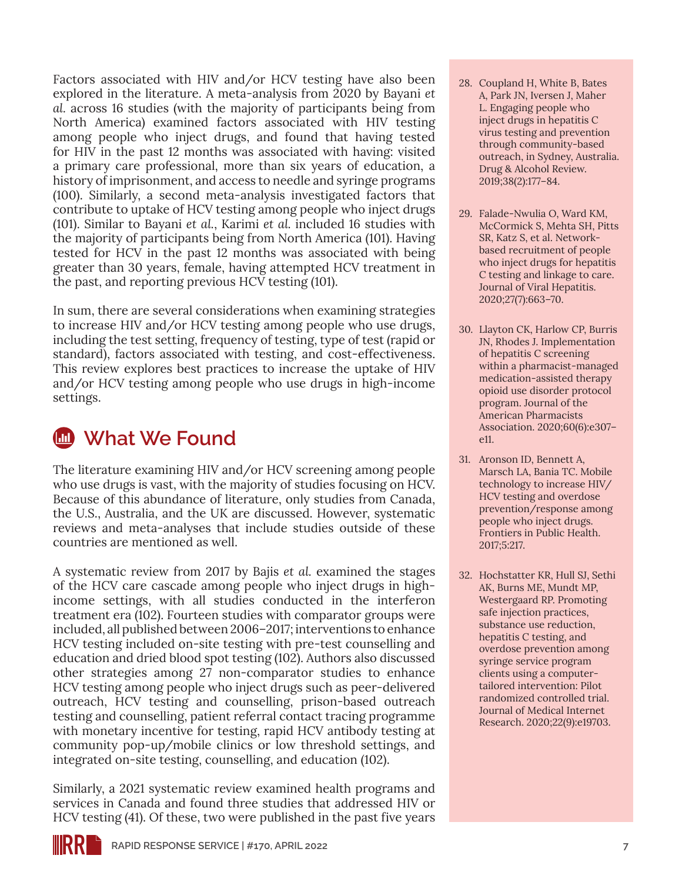Factors associated with HIV and/or HCV testing have also been explored in the literature. A meta-analysis from 2020 by Bayani *et al.* across 16 studies (with the majority of participants being from North America) examined factors associated with HIV testing among people who inject drugs, and found that having tested for HIV in the past 12 months was associated with having: visited a primary care professional, more than six years of education, a history of imprisonment, and access to needle and syringe programs (100). Similarly, a second meta-analysis investigated factors that contribute to uptake of HCV testing among people who inject drugs (101). Similar to Bayani *et al.*, Karimi *et al.* included 16 studies with the majority of participants being from North America (101). Having tested for HCV in the past 12 months was associated with being greater than 30 years, female, having attempted HCV treatment in the past, and reporting previous HCV testing (101).

In sum, there are several considerations when examining strategies to increase HIV and/or HCV testing among people who use drugs, including the test setting, frequency of testing, type of test (rapid or standard), factors associated with testing, and cost-effectiveness. This review explores best practices to increase the uptake of HIV and/or HCV testing among people who use drugs in high-income settings.

### **M** What We Found

The literature examining HIV and/or HCV screening among people who use drugs is vast, with the majority of studies focusing on HCV. Because of this abundance of literature, only studies from Canada, the U.S., Australia, and the UK are discussed. However, systematic reviews and meta-analyses that include studies outside of these countries are mentioned as well.

A systematic review from 2017 by Bajis *et al.* examined the stages of the HCV care cascade among people who inject drugs in highincome settings, with all studies conducted in the interferon treatment era (102). Fourteen studies with comparator groups were included, all published between 2006–2017; interventions to enhance HCV testing included on-site testing with pre-test counselling and education and dried blood spot testing (102). Authors also discussed other strategies among 27 non-comparator studies to enhance HCV testing among people who inject drugs such as peer-delivered outreach, HCV testing and counselling, prison-based outreach testing and counselling, patient referral contact tracing programme with monetary incentive for testing, rapid HCV antibody testing at community pop-up/mobile clinics or low threshold settings, and integrated on-site testing, counselling, and education (102).

Similarly, a 2021 systematic review examined health programs and services in Canada and found three studies that addressed HIV or HCV testing (41). Of these, two were published in the past five years

- 28. Coupland H, White B, Bates A, Park JN, Iversen J, Maher L. Engaging people who inject drugs in hepatitis C virus testing and prevention through community-based outreach, in Sydney, Australia. Drug & Alcohol Review. 2019;38(2):177–84.
- 29. Falade-Nwulia O, Ward KM, McCormick S, Mehta SH, Pitts SR, Katz S, et al. Networkbased recruitment of people who inject drugs for hepatitis C testing and linkage to care. Journal of Viral Hepatitis. 2020;27(7):663–70.
- 30. Llayton CK, Harlow CP, Burris JN, Rhodes J. Implementation of hepatitis C screening within a pharmacist-managed medication-assisted therapy opioid use disorder protocol program. Journal of the American Pharmacists Association. 2020;60(6):e307– e11.
- 31. Aronson ID, Bennett A, Marsch LA, Bania TC. Mobile technology to increase HIV/ HCV testing and overdose prevention/response among people who inject drugs. Frontiers in Public Health. 2017;5:217.
- 32. Hochstatter KR, Hull SJ, Sethi AK, Burns ME, Mundt MP, Westergaard RP. Promoting safe injection practices, substance use reduction, hepatitis C testing, and overdose prevention among syringe service program clients using a computertailored intervention: Pilot randomized controlled trial. Journal of Medical Internet Research. 2020;22(9):e19703.

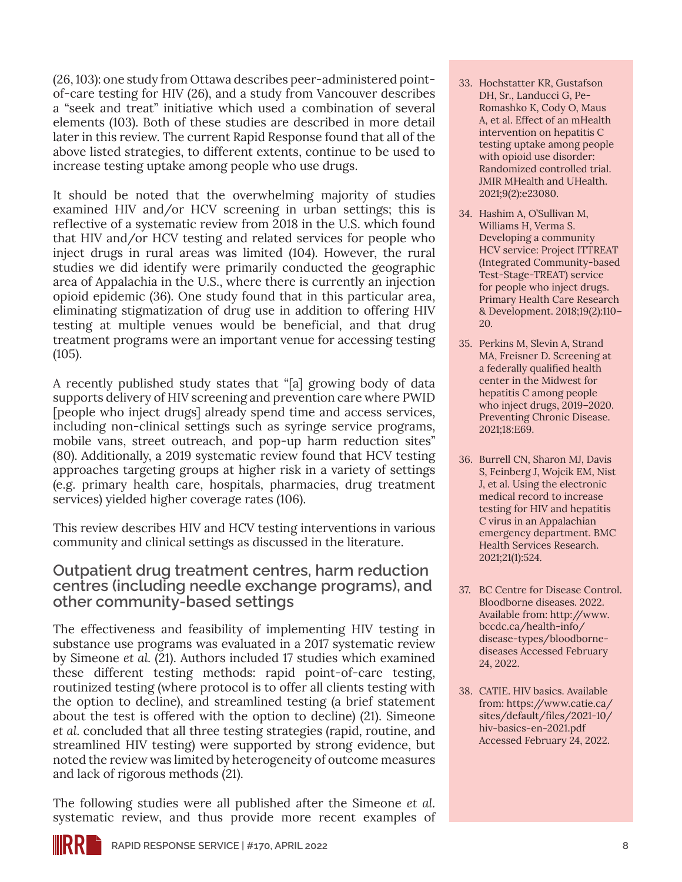(26, 103): one study from Ottawa describes peer-administered pointof-care testing for HIV (26), and a study from Vancouver describes a "seek and treat" initiative which used a combination of several elements (103). Both of these studies are described in more detail later in this review. The current Rapid Response found that all of the above listed strategies, to different extents, continue to be used to increase testing uptake among people who use drugs.

It should be noted that the overwhelming majority of studies examined HIV and/or HCV screening in urban settings; this is reflective of a systematic review from 2018 in the U.S. which found that HIV and/or HCV testing and related services for people who inject drugs in rural areas was limited (104). However, the rural studies we did identify were primarily conducted the geographic area of Appalachia in the U.S., where there is currently an injection opioid epidemic (36). One study found that in this particular area, eliminating stigmatization of drug use in addition to offering HIV testing at multiple venues would be beneficial, and that drug treatment programs were an important venue for accessing testing (105).

A recently published study states that "[a] growing body of data supports delivery of HIV screening and prevention care where PWID [people who inject drugs] already spend time and access services, including non-clinical settings such as syringe service programs, mobile vans, street outreach, and pop-up harm reduction sites" (80). Additionally, a 2019 systematic review found that HCV testing approaches targeting groups at higher risk in a variety of settings (e.g. primary health care, hospitals, pharmacies, drug treatment services) yielded higher coverage rates (106).

This review describes HIV and HCV testing interventions in various community and clinical settings as discussed in the literature.

**Outpatient drug treatment centres, harm reduction centres (including needle exchange programs), and other community-based settings**

The effectiveness and feasibility of implementing HIV testing in substance use programs was evaluated in a 2017 systematic review by Simeone *et al.* (21). Authors included 17 studies which examined these different testing methods: rapid point-of-care testing, routinized testing (where protocol is to offer all clients testing with the option to decline), and streamlined testing (a brief statement about the test is offered with the option to decline) (21). Simeone *et al.* concluded that all three testing strategies (rapid, routine, and streamlined HIV testing) were supported by strong evidence, but noted the review was limited by heterogeneity of outcome measures and lack of rigorous methods (21).

The following studies were all published after the Simeone *et al.* systematic review, and thus provide more recent examples of

- 33. Hochstatter KR, Gustafson DH, Sr., Landucci G, Pe-Romashko K, Cody O, Maus A, et al. Effect of an mHealth intervention on hepatitis C testing uptake among people with opioid use disorder: Randomized controlled trial. JMIR MHealth and UHealth. 2021;9(2):e23080.
- 34. Hashim A, O'Sullivan M, Williams H, Verma S. Developing a community HCV service: Project ITTREAT (Integrated Community-based Test-Stage-TREAT) service for people who inject drugs. Primary Health Care Research & Development. 2018;19(2):110– 20.
- 35. Perkins M, Slevin A, Strand MA, Freisner D. Screening at a federally qualified health center in the Midwest for hepatitis C among people who inject drugs, 2019–2020. Preventing Chronic Disease. 2021;18:E69.
- 36. Burrell CN, Sharon MJ, Davis S, Feinberg J, Wojcik EM, Nist J, et al. Using the electronic medical record to increase testing for HIV and hepatitis C virus in an Appalachian emergency department. BMC Health Services Research. 2021;21(1):524.
- 37. BC Centre for Disease Control. Bloodborne diseases. 2022. Available from: [http://www.](http://www.bccdc.ca/health-info/disease-types/bloodborne-diseases) [bccdc.ca/health-info/](http://www.bccdc.ca/health-info/disease-types/bloodborne-diseases) [disease-types/bloodborne](http://www.bccdc.ca/health-info/disease-types/bloodborne-diseases)[diseases](http://www.bccdc.ca/health-info/disease-types/bloodborne-diseases) Accessed February 24, 2022.
- 38. CATIE. HIV basics. Available from: [https://www.catie.ca/](https://www.catie.ca/sites/default/files/2021-10/hiv-basics-en-2021.pdf) [sites/default/files/2021-10/](https://www.catie.ca/sites/default/files/2021-10/hiv-basics-en-2021.pdf) [hiv-basics-en-2021.pdf](https://www.catie.ca/sites/default/files/2021-10/hiv-basics-en-2021.pdf) Accessed February 24, 2022.

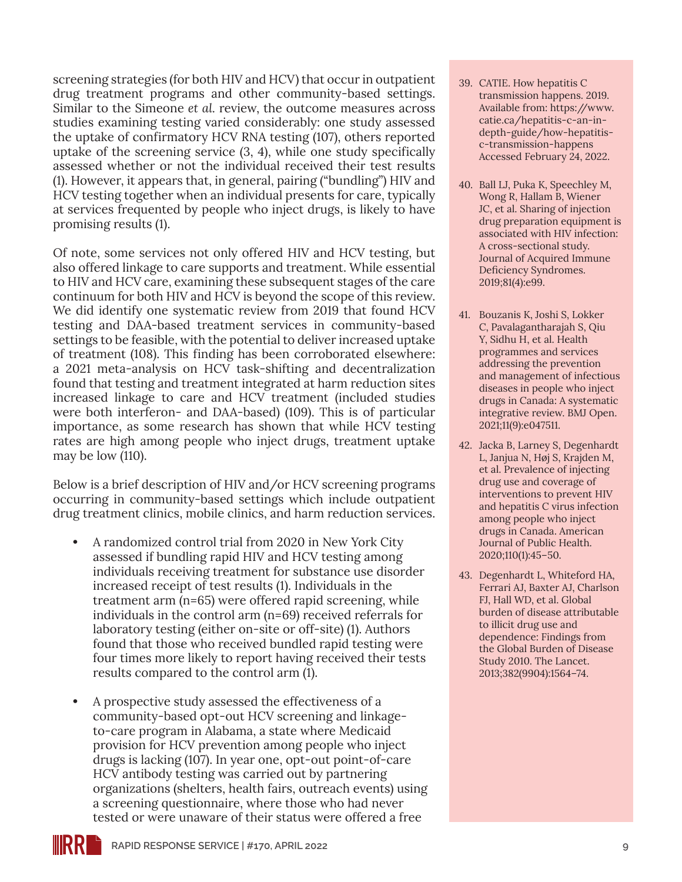screening strategies (for both HIV and HCV) that occur in outpatient drug treatment programs and other community-based settings. Similar to the Simeone *et al.* review, the outcome measures across studies examining testing varied considerably: one study assessed the uptake of confirmatory HCV RNA testing (107), others reported uptake of the screening service (3, 4), while one study specifically assessed whether or not the individual received their test results (1). However, it appears that, in general, pairing ("bundling") HIV and HCV testing together when an individual presents for care, typically at services frequented by people who inject drugs, is likely to have promising results (1).

Of note, some services not only offered HIV and HCV testing, but also offered linkage to care supports and treatment. While essential to HIV and HCV care, examining these subsequent stages of the care continuum for both HIV and HCV is beyond the scope of this review. We did identify one systematic review from 2019 that found HCV testing and DAA-based treatment services in community-based settings to be feasible, with the potential to deliver increased uptake of treatment (108). This finding has been corroborated elsewhere: a 2021 meta-analysis on HCV task-shifting and decentralization found that testing and treatment integrated at harm reduction sites increased linkage to care and HCV treatment (included studies were both interferon- and DAA-based) (109). This is of particular importance, as some research has shown that while HCV testing rates are high among people who inject drugs, treatment uptake may be low (110).

Below is a brief description of HIV and/or HCV screening programs occurring in community-based settings which include outpatient drug treatment clinics, mobile clinics, and harm reduction services.

- **•** A randomized control trial from 2020 in New York City assessed if bundling rapid HIV and HCV testing among individuals receiving treatment for substance use disorder increased receipt of test results (1). Individuals in the treatment arm (n=65) were offered rapid screening, while individuals in the control arm (n=69) received referrals for laboratory testing (either on-site or off-site) (1). Authors found that those who received bundled rapid testing were four times more likely to report having received their tests results compared to the control arm (1).
- **•** A prospective study assessed the effectiveness of a community-based opt-out HCV screening and linkageto-care program in Alabama, a state where Medicaid provision for HCV prevention among people who inject drugs is lacking (107). In year one, opt-out point-of-care HCV antibody testing was carried out by partnering organizations (shelters, health fairs, outreach events) using a screening questionnaire, where those who had never tested or were unaware of their status were offered a free
- 39. CATIE. How hepatitis C transmission happens. 2019. Available from: [https://www.](https://www.catie.ca/hepatitis-c-an-in-depth-guide/how-hepatitis-c-transmission-happens) [catie.ca/hepatitis-c-an-in](https://www.catie.ca/hepatitis-c-an-in-depth-guide/how-hepatitis-c-transmission-happens)[depth-guide/how-hepatitis](https://www.catie.ca/hepatitis-c-an-in-depth-guide/how-hepatitis-c-transmission-happens)[c-transmission-happens](https://www.catie.ca/hepatitis-c-an-in-depth-guide/how-hepatitis-c-transmission-happens) Accessed February 24, 2022.
- 40. Ball LJ, Puka K, Speechley M, Wong R, Hallam B, Wiener JC, et al. Sharing of injection drug preparation equipment is associated with HIV infection: A cross-sectional study. Journal of Acquired Immune Deficiency Syndromes. 2019;81(4):e99.
- 41. Bouzanis K, Joshi S, Lokker C, Pavalagantharajah S, Qiu Y, Sidhu H, et al. Health programmes and services addressing the prevention and management of infectious diseases in people who inject drugs in Canada: A systematic integrative review. BMJ Open. 2021;11(9):e047511.
- 42. Jacka B, Larney S, Degenhardt L, Janjua N, Høj S, Krajden M, et al. Prevalence of injecting drug use and coverage of interventions to prevent HIV and hepatitis C virus infection among people who inject drugs in Canada. American Journal of Public Health. 2020;110(1):45–50.
- 43. Degenhardt L, Whiteford HA, Ferrari AJ, Baxter AJ, Charlson FJ, Hall WD, et al. Global burden of disease attributable to illicit drug use and dependence: Findings from the Global Burden of Disease Study 2010. The Lancet. 2013;382(9904):1564–74.

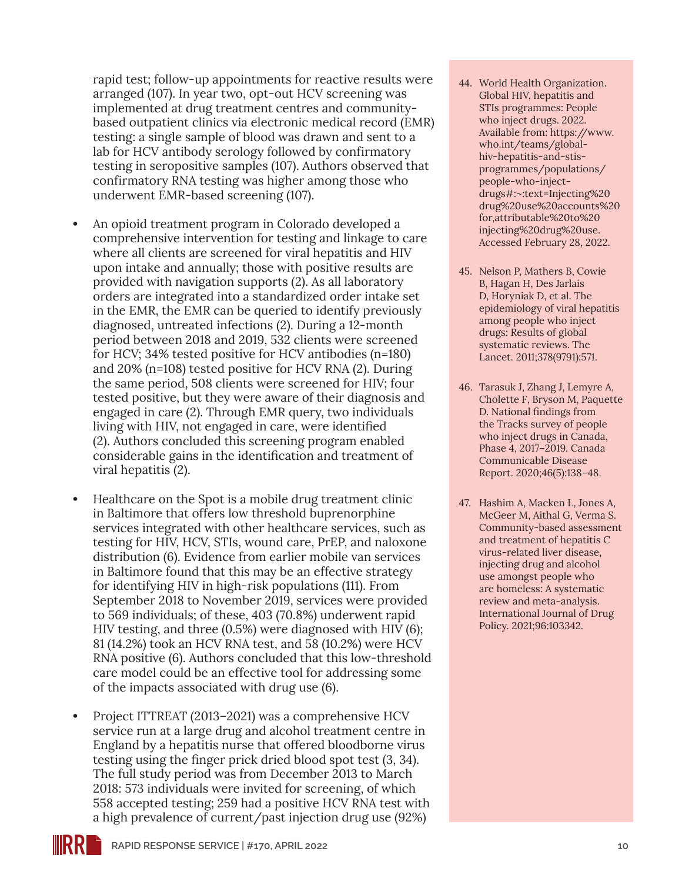rapid test; follow-up appointments for reactive results were arranged (107). In year two, opt-out HCV screening was implemented at drug treatment centres and communitybased outpatient clinics via electronic medical record (EMR) testing: a single sample of blood was drawn and sent to a lab for HCV antibody serology followed by confirmatory testing in seropositive samples (107). Authors observed that confirmatory RNA testing was higher among those who underwent EMR-based screening (107).

- **•** An opioid treatment program in Colorado developed a comprehensive intervention for testing and linkage to care where all clients are screened for viral hepatitis and HIV upon intake and annually; those with positive results are provided with navigation supports (2). As all laboratory orders are integrated into a standardized order intake set in the EMR, the EMR can be queried to identify previously diagnosed, untreated infections (2). During a 12-month period between 2018 and 2019, 532 clients were screened for HCV; 34% tested positive for HCV antibodies (n=180) and 20% (n=108) tested positive for HCV RNA (2). During the same period, 508 clients were screened for HIV; four tested positive, but they were aware of their diagnosis and engaged in care (2). Through EMR query, two individuals living with HIV, not engaged in care, were identified (2). Authors concluded this screening program enabled considerable gains in the identification and treatment of viral hepatitis (2).
- **•** Healthcare on the Spot is a mobile drug treatment clinic in Baltimore that offers low threshold buprenorphine services integrated with other healthcare services, such as testing for HIV, HCV, STIs, wound care, PrEP, and naloxone distribution (6). Evidence from earlier mobile van services in Baltimore found that this may be an effective strategy for identifying HIV in high-risk populations (111). From September 2018 to November 2019, services were provided to 569 individuals; of these, 403 (70.8%) underwent rapid HIV testing, and three (0.5%) were diagnosed with HIV (6); 81 (14.2%) took an HCV RNA test, and 58 (10.2%) were HCV RNA positive (6). Authors concluded that this low-threshold care model could be an effective tool for addressing some of the impacts associated with drug use (6).
- **•** Project ITTREAT (2013–2021) was a comprehensive HCV service run at a large drug and alcohol treatment centre in England by a hepatitis nurse that offered bloodborne virus testing using the finger prick dried blood spot test (3, 34). The full study period was from December 2013 to March 2018: 573 individuals were invited for screening, of which 558 accepted testing; 259 had a positive HCV RNA test with a high prevalence of current/past injection drug use (92%)
- 44. World Health Organization. Global HIV, hepatitis and STIs programmes: People who inject drugs. 2022. Available from: [https://www.](https://www.who.int/teams/global-hiv-hepatitis-and-stis-programmes/populations/people-who-inject-drugs#:~:text=Injecting%20drug%20use%20accounts%20for,attributable%20to%20injecting%20drug%20use.) [who.int/teams/global](https://www.who.int/teams/global-hiv-hepatitis-and-stis-programmes/populations/people-who-inject-drugs#:~:text=Injecting%20drug%20use%20accounts%20for,attributable%20to%20injecting%20drug%20use.)[hiv-hepatitis-and-stis](https://www.who.int/teams/global-hiv-hepatitis-and-stis-programmes/populations/people-who-inject-drugs#:~:text=Injecting%20drug%20use%20accounts%20for,attributable%20to%20injecting%20drug%20use.)[programmes/populations/](https://www.who.int/teams/global-hiv-hepatitis-and-stis-programmes/populations/people-who-inject-drugs#:~:text=Injecting%20drug%20use%20accounts%20for,attributable%20to%20injecting%20drug%20use.) [people-who-inject](https://www.who.int/teams/global-hiv-hepatitis-and-stis-programmes/populations/people-who-inject-drugs#:~:text=Injecting%20drug%20use%20accounts%20for,attributable%20to%20injecting%20drug%20use.)[drugs#:~:text=Injecting%20](https://www.who.int/teams/global-hiv-hepatitis-and-stis-programmes/populations/people-who-inject-drugs#:~:text=Injecting%20drug%20use%20accounts%20for,attributable%20to%20injecting%20drug%20use.) [drug%20use%20accounts%20](https://www.who.int/teams/global-hiv-hepatitis-and-stis-programmes/populations/people-who-inject-drugs#:~:text=Injecting%20drug%20use%20accounts%20for,attributable%20to%20injecting%20drug%20use.) [for,attributable%20to%20](https://www.who.int/teams/global-hiv-hepatitis-and-stis-programmes/populations/people-who-inject-drugs#:~:text=Injecting%20drug%20use%20accounts%20for,attributable%20to%20injecting%20drug%20use.) [injecting%20drug%20use.](https://www.who.int/teams/global-hiv-hepatitis-and-stis-programmes/populations/people-who-inject-drugs#:~:text=Injecting%20drug%20use%20accounts%20for,attributable%20to%20injecting%20drug%20use.) Accessed February 28, 2022.
- 45. Nelson P, Mathers B, Cowie B, Hagan H, Des Jarlais D, Horyniak D, et al. The epidemiology of viral hepatitis among people who inject drugs: Results of global systematic reviews. The Lancet. 2011;378(9791):571.
- 46. Tarasuk J, Zhang J, Lemyre A, Cholette F, Bryson M, Paquette D. National findings from the Tracks survey of people who inject drugs in Canada, Phase 4, 2017–2019. Canada Communicable Disease Report. 2020;46(5):138–48.
- 47. Hashim A, Macken L, Jones A, McGeer M, Aithal G, Verma S. Community-based assessment and treatment of hepatitis C virus-related liver disease, injecting drug and alcohol use amongst people who are homeless: A systematic review and meta-analysis. International Journal of Drug Policy. 2021;96:103342.

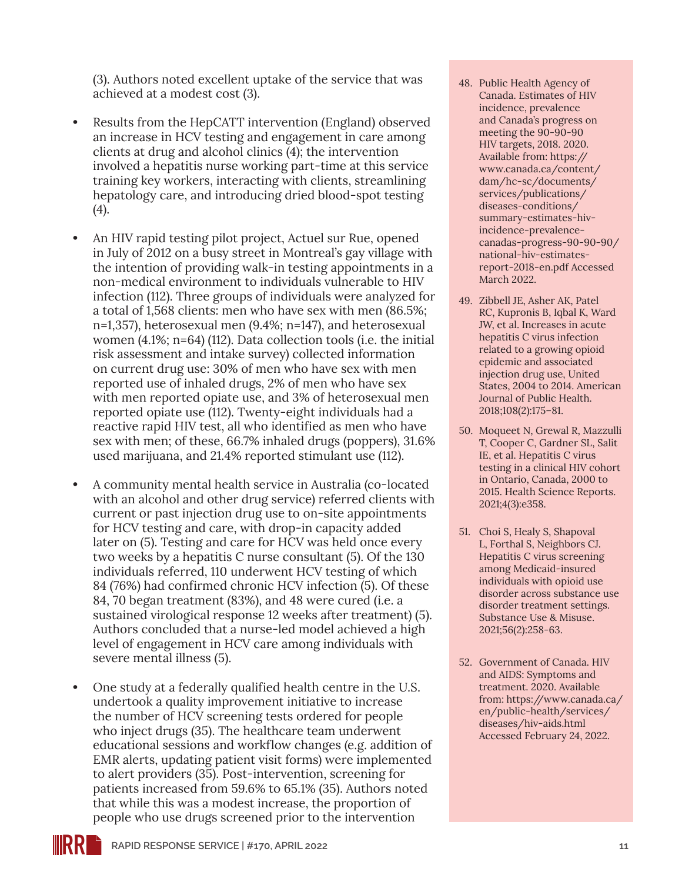(3). Authors noted excellent uptake of the service that was achieved at a modest cost (3).

- **•** Results from the HepCATT intervention (England) observed an increase in HCV testing and engagement in care among clients at drug and alcohol clinics (4); the intervention involved a hepatitis nurse working part-time at this service training key workers, interacting with clients, streamlining hepatology care, and introducing dried blood-spot testing (4).
- **•** An HIV rapid testing pilot project, Actuel sur Rue, opened in July of 2012 on a busy street in Montreal's gay village with the intention of providing walk-in testing appointments in a non-medical environment to individuals vulnerable to HIV infection (112). Three groups of individuals were analyzed for a total of 1,568 clients: men who have sex with men (86.5%; n=1,357), heterosexual men (9.4%; n=147), and heterosexual women (4.1%; n=64) (112). Data collection tools (i.e. the initial risk assessment and intake survey) collected information on current drug use: 30% of men who have sex with men reported use of inhaled drugs, 2% of men who have sex with men reported opiate use, and 3% of heterosexual men reported opiate use (112). Twenty-eight individuals had a reactive rapid HIV test, all who identified as men who have sex with men; of these, 66.7% inhaled drugs (poppers), 31.6% used marijuana, and 21.4% reported stimulant use (112).
- **•** A community mental health service in Australia (co-located with an alcohol and other drug service) referred clients with current or past injection drug use to on-site appointments for HCV testing and care, with drop-in capacity added later on (5). Testing and care for HCV was held once every two weeks by a hepatitis C nurse consultant (5). Of the 130 individuals referred, 110 underwent HCV testing of which 84 (76%) had confirmed chronic HCV infection (5). Of these 84, 70 began treatment (83%), and 48 were cured (i.e. a sustained virological response 12 weeks after treatment) (5). Authors concluded that a nurse-led model achieved a high level of engagement in HCV care among individuals with severe mental illness (5).
- **•** One study at a federally qualified health centre in the U.S. undertook a quality improvement initiative to increase the number of HCV screening tests ordered for people who inject drugs (35). The healthcare team underwent educational sessions and workflow changes (e.g. addition of EMR alerts, updating patient visit forms) were implemented to alert providers (35). Post-intervention, screening for patients increased from 59.6% to 65.1% (35). Authors noted that while this was a modest increase, the proportion of people who use drugs screened prior to the intervention
- 48. Public Health Agency of Canada. Estimates of HIV incidence, prevalence and Canada's progress on meeting the 90-90-90 HIV targets, 2018. 2020. Available from: [https://](https://www.canada.ca/content/dam/hc-sc/documents/services/publications/diseases-conditions/summary-estimates-hiv-incidence-prevalence-canadas-progress-90-90-90/national-hiv-estimates-report-2018-en.pdf) [www.canada.ca/content/](https://www.canada.ca/content/dam/hc-sc/documents/services/publications/diseases-conditions/summary-estimates-hiv-incidence-prevalence-canadas-progress-90-90-90/national-hiv-estimates-report-2018-en.pdf) [dam/hc-sc/documents/](https://www.canada.ca/content/dam/hc-sc/documents/services/publications/diseases-conditions/summary-estimates-hiv-incidence-prevalence-canadas-progress-90-90-90/national-hiv-estimates-report-2018-en.pdf) [services/publications/](https://www.canada.ca/content/dam/hc-sc/documents/services/publications/diseases-conditions/summary-estimates-hiv-incidence-prevalence-canadas-progress-90-90-90/national-hiv-estimates-report-2018-en.pdf) [diseases-conditions/](https://www.canada.ca/content/dam/hc-sc/documents/services/publications/diseases-conditions/summary-estimates-hiv-incidence-prevalence-canadas-progress-90-90-90/national-hiv-estimates-report-2018-en.pdf) [summary-estimates-hiv](https://www.canada.ca/content/dam/hc-sc/documents/services/publications/diseases-conditions/summary-estimates-hiv-incidence-prevalence-canadas-progress-90-90-90/national-hiv-estimates-report-2018-en.pdf)[incidence-prevalence](https://www.canada.ca/content/dam/hc-sc/documents/services/publications/diseases-conditions/summary-estimates-hiv-incidence-prevalence-canadas-progress-90-90-90/national-hiv-estimates-report-2018-en.pdf)[canadas-progress-90-90-90/](https://www.canada.ca/content/dam/hc-sc/documents/services/publications/diseases-conditions/summary-estimates-hiv-incidence-prevalence-canadas-progress-90-90-90/national-hiv-estimates-report-2018-en.pdf) [national-hiv-estimates](https://www.canada.ca/content/dam/hc-sc/documents/services/publications/diseases-conditions/summary-estimates-hiv-incidence-prevalence-canadas-progress-90-90-90/national-hiv-estimates-report-2018-en.pdf)[report-2018-en.pdf](https://www.canada.ca/content/dam/hc-sc/documents/services/publications/diseases-conditions/summary-estimates-hiv-incidence-prevalence-canadas-progress-90-90-90/national-hiv-estimates-report-2018-en.pdf) Accessed March 2022.
- 49. Zibbell JE, Asher AK, Patel RC, Kupronis B, Iqbal K, Ward JW, et al. Increases in acute hepatitis C virus infection related to a growing opioid epidemic and associated injection drug use, United States, 2004 to 2014. American Journal of Public Health. 2018;108(2):175–81.
- 50. Moqueet N, Grewal R, Mazzulli T, Cooper C, Gardner SL, Salit IE, et al. Hepatitis C virus testing in a clinical HIV cohort in Ontario, Canada, 2000 to 2015. Health Science Reports. 2021;4(3):e358.
- 51. Choi S, Healy S, Shapoval L, Forthal S, Neighbors CJ. Hepatitis C virus screening among Medicaid-insured individuals with opioid use disorder across substance use disorder treatment settings. Substance Use & Misuse. 2021;56(2):258-63.
- 52. Government of Canada. HIV and AIDS: Symptoms and treatment. 2020. Available from: [https://www.canada.ca/](https://www.canada.ca/en/public-health/services/diseases/hiv-aids.html) [en/public-health/services/](https://www.canada.ca/en/public-health/services/diseases/hiv-aids.html) [diseases/hiv-aids.html](https://www.canada.ca/en/public-health/services/diseases/hiv-aids.html) Accessed February 24, 2022.

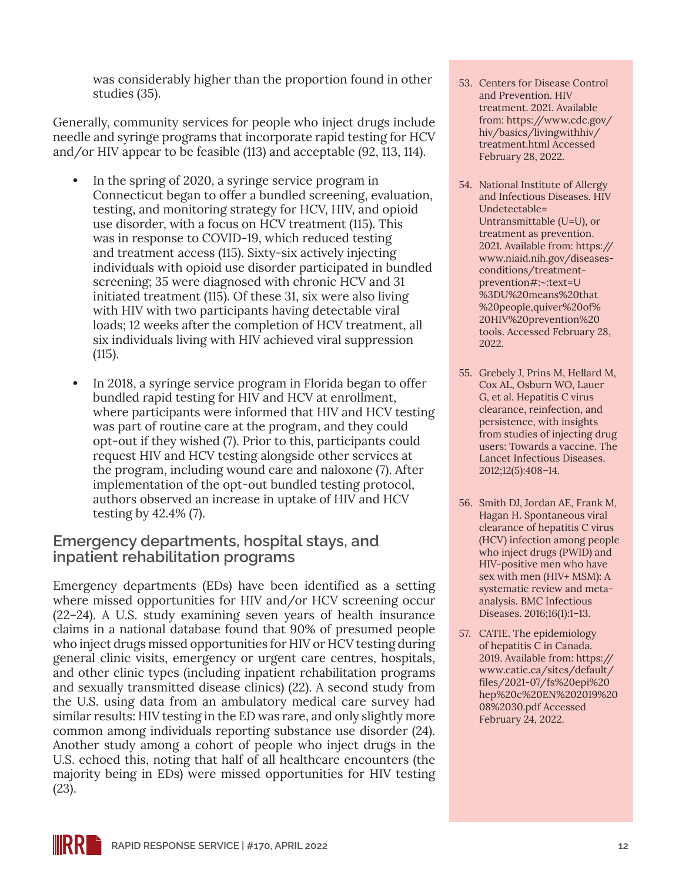was considerably higher than the proportion found in other studies (35).

Generally, community services for people who inject drugs include needle and syringe programs that incorporate rapid testing for HCV and/or HIV appear to be feasible (113) and acceptable (92, 113, 114).

- **•** In the spring of 2020, a syringe service program in Connecticut began to offer a bundled screening, evaluation, testing, and monitoring strategy for HCV, HIV, and opioid use disorder, with a focus on HCV treatment (115). This was in response to COVID-19, which reduced testing and treatment access (115). Sixty-six actively injecting individuals with opioid use disorder participated in bundled screening; 35 were diagnosed with chronic HCV and 31 initiated treatment (115). Of these 31, six were also living with HIV with two participants having detectable viral loads; 12 weeks after the completion of HCV treatment, all six individuals living with HIV achieved viral suppression (115).
- **•** In 2018, a syringe service program in Florida began to offer bundled rapid testing for HIV and HCV at enrollment, where participants were informed that HIV and HCV testing was part of routine care at the program, and they could opt-out if they wished (7). Prior to this, participants could request HIV and HCV testing alongside other services at the program, including wound care and naloxone (7). After implementation of the opt-out bundled testing protocol, authors observed an increase in uptake of HIV and HCV testing by 42.4% (7).

#### **Emergency departments, hospital stays, and inpatient rehabilitation programs**

Emergency departments (EDs) have been identified as a setting where missed opportunities for HIV and/or HCV screening occur (22–24). A U.S. study examining seven years of health insurance claims in a national database found that 90% of presumed people who inject drugs missed opportunities for HIV or HCV testing during general clinic visits, emergency or urgent care centres, hospitals, and other clinic types (including inpatient rehabilitation programs and sexually transmitted disease clinics) (22). A second study from the U.S. using data from an ambulatory medical care survey had similar results: HIV testing in the ED was rare, and only slightly more common among individuals reporting substance use disorder (24). Another study among a cohort of people who inject drugs in the U.S. echoed this, noting that half of all healthcare encounters (the majority being in EDs) were missed opportunities for HIV testing (23).

- 53. Centers for Disease Control and Prevention. HIV treatment. 2021. Available from: [https://www.cdc.gov/](https://www.cdc.gov/hiv/basics/livingwithhiv/treatment.html) [hiv/basics/livingwithhiv/](https://www.cdc.gov/hiv/basics/livingwithhiv/treatment.html) [treatment.html](https://www.cdc.gov/hiv/basics/livingwithhiv/treatment.html) Accessed February 28, 2022.
- 54. National Institute of Allergy and Infectious Diseases. HIV Undetectable= Untransmittable (U=U), or treatment as prevention. 2021. Available from: [https://](https://www.niaid.nih.gov/diseases-conditions/treatment-prevention#:~:text=U%3DU%20means%20that%20people,quiver%20of%20HIV%20prevention%20tools.) [www.niaid.nih.gov/diseases](https://www.niaid.nih.gov/diseases-conditions/treatment-prevention#:~:text=U%3DU%20means%20that%20people,quiver%20of%20HIV%20prevention%20tools.)[conditions/treatment](https://www.niaid.nih.gov/diseases-conditions/treatment-prevention#:~:text=U%3DU%20means%20that%20people,quiver%20of%20HIV%20prevention%20tools.)[prevention#:~:text=U](https://www.niaid.nih.gov/diseases-conditions/treatment-prevention#:~:text=U%3DU%20means%20that%20people,quiver%20of%20HIV%20prevention%20tools.) [%3DU%20means%20that](https://www.niaid.nih.gov/diseases-conditions/treatment-prevention#:~:text=U%3DU%20means%20that%20people,quiver%20of%20HIV%20prevention%20tools.) [%20people,quiver%20of%](https://www.niaid.nih.gov/diseases-conditions/treatment-prevention#:~:text=U%3DU%20means%20that%20people,quiver%20of%20HIV%20prevention%20tools.) [20HIV%20prevention%20](https://www.niaid.nih.gov/diseases-conditions/treatment-prevention#:~:text=U%3DU%20means%20that%20people,quiver%20of%20HIV%20prevention%20tools.) [tools.](https://www.niaid.nih.gov/diseases-conditions/treatment-prevention#:~:text=U%3DU%20means%20that%20people,quiver%20of%20HIV%20prevention%20tools.) Accessed February 28, 2022.
- 55. Grebely J, Prins M, Hellard M, Cox AL, Osburn WO, Lauer G, et al. Hepatitis C virus clearance, reinfection, and persistence, with insights from studies of injecting drug users: Towards a vaccine. The Lancet Infectious Diseases. 2012;12(5):408–14.
- 56. Smith DJ, Jordan AE, Frank M, Hagan H. Spontaneous viral clearance of hepatitis C virus (HCV) infection among people who inject drugs (PWID) and HIV-positive men who have sex with men (HIV+ MSM): A systematic review and metaanalysis. BMC Infectious Diseases. 2016;16(1):1–13.
- 57. CATIE. The epidemiology of hepatitis C in Canada. 2019. Available from: [https://](https://www.catie.ca/sites/default/files/2021-07/fs%20epi%20hep%20c%20EN%202019%2008%2030.pdf) [www.catie.ca/sites/default/](https://www.catie.ca/sites/default/files/2021-07/fs%20epi%20hep%20c%20EN%202019%2008%2030.pdf) [files/2021-07/fs%20epi%20](https://www.catie.ca/sites/default/files/2021-07/fs%20epi%20hep%20c%20EN%202019%2008%2030.pdf) [hep%20c%20EN%202019%20](https://www.catie.ca/sites/default/files/2021-07/fs%20epi%20hep%20c%20EN%202019%2008%2030.pdf) [08%2030.pdf](https://www.catie.ca/sites/default/files/2021-07/fs%20epi%20hep%20c%20EN%202019%2008%2030.pdf) Accessed February 24, 2022.

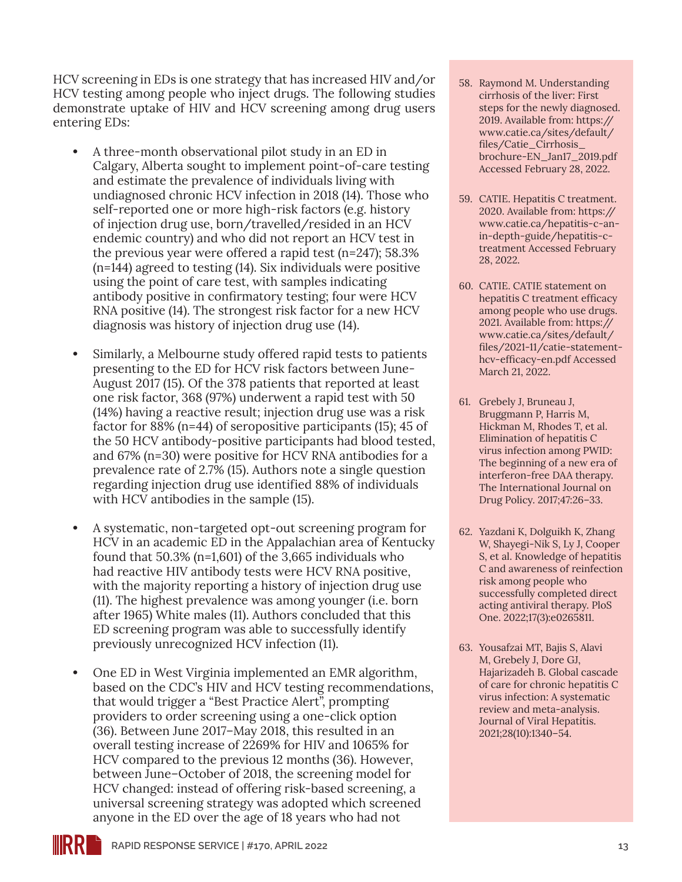HCV screening in EDs is one strategy that has increased HIV and/or HCV testing among people who inject drugs. The following studies demonstrate uptake of HIV and HCV screening among drug users entering EDs:

- **•** A three-month observational pilot study in an ED in Calgary, Alberta sought to implement point-of-care testing and estimate the prevalence of individuals living with undiagnosed chronic HCV infection in 2018 (14). Those who self-reported one or more high-risk factors (e.g. history of injection drug use, born/travelled/resided in an HCV endemic country) and who did not report an HCV test in the previous year were offered a rapid test (n=247); 58.3% (n=144) agreed to testing (14). Six individuals were positive using the point of care test, with samples indicating antibody positive in confirmatory testing; four were HCV RNA positive (14). The strongest risk factor for a new HCV diagnosis was history of injection drug use (14).
- **•** Similarly, a Melbourne study offered rapid tests to patients presenting to the ED for HCV risk factors between June-August 2017 (15). Of the 378 patients that reported at least one risk factor, 368 (97%) underwent a rapid test with 50 (14%) having a reactive result; injection drug use was a risk factor for 88% (n=44) of seropositive participants (15); 45 of the 50 HCV antibody-positive participants had blood tested, and 67% (n=30) were positive for HCV RNA antibodies for a prevalence rate of 2.7% (15). Authors note a single question regarding injection drug use identified 88% of individuals with HCV antibodies in the sample (15).
- **•** A systematic, non-targeted opt-out screening program for HCV in an academic ED in the Appalachian area of Kentucky found that 50.3% (n=1,601) of the 3,665 individuals who had reactive HIV antibody tests were HCV RNA positive, with the majority reporting a history of injection drug use (11). The highest prevalence was among younger (i.e. born after 1965) White males (11). Authors concluded that this ED screening program was able to successfully identify previously unrecognized HCV infection (11).
- **•** One ED in West Virginia implemented an EMR algorithm, based on the CDC's HIV and HCV testing recommendations, that would trigger a "Best Practice Alert", prompting providers to order screening using a one-click option (36). Between June 2017–May 2018, this resulted in an overall testing increase of 2269% for HIV and 1065% for HCV compared to the previous 12 months (36). However, between June–October of 2018, the screening model for HCV changed: instead of offering risk-based screening, a universal screening strategy was adopted which screened anyone in the ED over the age of 18 years who had not
- 58. Raymond M. Understanding cirrhosis of the liver: First steps for the newly diagnosed. 2019. Available from: [https://](https://www.catie.ca/sites/default/files/Catie_Cirrhosis_brochure-EN_Jan17_2019.pdf) [www.catie.ca/sites/default/](https://www.catie.ca/sites/default/files/Catie_Cirrhosis_brochure-EN_Jan17_2019.pdf) [files/Catie\\_Cirrhosis\\_](https://www.catie.ca/sites/default/files/Catie_Cirrhosis_brochure-EN_Jan17_2019.pdf) [brochure-EN\\_Jan17\\_2019.pdf](https://www.catie.ca/sites/default/files/Catie_Cirrhosis_brochure-EN_Jan17_2019.pdf) Accessed February 28, 2022.
- 59. CATIE. Hepatitis C treatment. 2020. Available from: [https://](https://www.catie.ca/hepatitis-c-an-in-depth-guide/hepatitis-c-treatment) [www.catie.ca/hepatitis-c-an](https://www.catie.ca/hepatitis-c-an-in-depth-guide/hepatitis-c-treatment)[in-depth-guide/hepatitis-c](https://www.catie.ca/hepatitis-c-an-in-depth-guide/hepatitis-c-treatment)[treatment](https://www.catie.ca/hepatitis-c-an-in-depth-guide/hepatitis-c-treatment) Accessed February 28, 2022.
- 60. CATIE. CATIE statement on hepatitis C treatment efficacy among people who use drugs. 2021. Available from: [https://](https://www.catie.ca/sites/default/files/2021-11/catie-statement-hcv-efficacy-en.pdf) [www.catie.ca/sites/default/](https://www.catie.ca/sites/default/files/2021-11/catie-statement-hcv-efficacy-en.pdf) [files/2021-11/catie-statement](https://www.catie.ca/sites/default/files/2021-11/catie-statement-hcv-efficacy-en.pdf)[hcv-efficacy-en.pdf](https://www.catie.ca/sites/default/files/2021-11/catie-statement-hcv-efficacy-en.pdf) Accessed March 21, 2022.
- 61. Grebely J, Bruneau J, Bruggmann P, Harris M, Hickman M, Rhodes T, et al. Elimination of hepatitis C virus infection among PWID: The beginning of a new era of interferon-free DAA therapy. The International Journal on Drug Policy. 2017;47:26–33.
- 62. Yazdani K, Dolguikh K, Zhang W, Shayegi-Nik S, Ly J, Cooper S, et al. Knowledge of hepatitis C and awareness of reinfection risk among people who successfully completed direct acting antiviral therapy. PloS One. 2022;17(3):e0265811.
- 63. Yousafzai MT, Bajis S, Alavi M, Grebely J, Dore GJ, Hajarizadeh B. Global cascade of care for chronic hepatitis C virus infection: A systematic review and meta-analysis. Journal of Viral Hepatitis. 2021;28(10):1340–54.

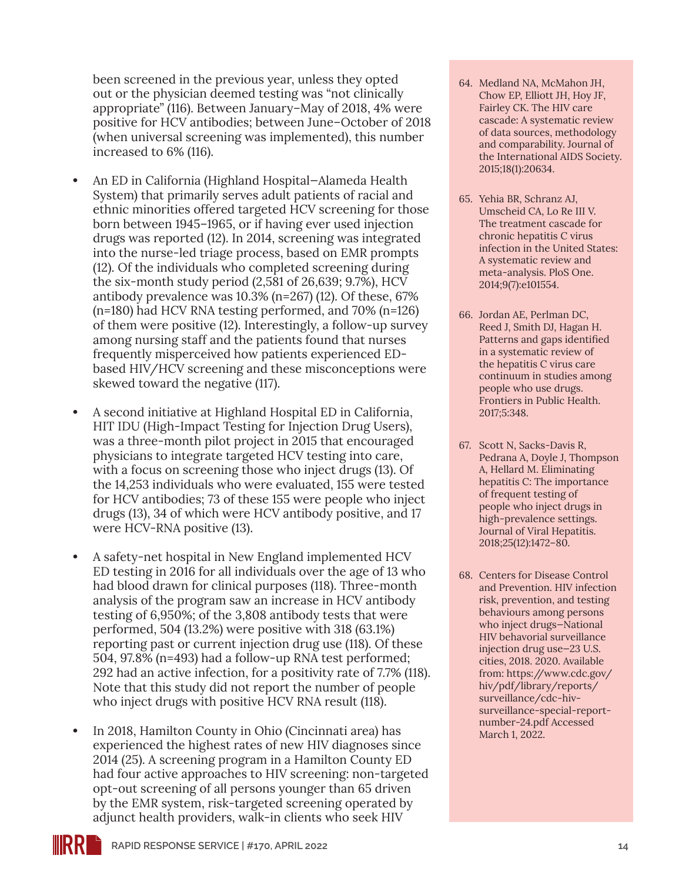been screened in the previous year, unless they opted out or the physician deemed testing was "not clinically appropriate" (116). Between January–May of 2018, 4% were positive for HCV antibodies; between June–October of 2018 (when universal screening was implemented), this number increased to 6% (116).

- **•** An ED in California (Highland Hospital—Alameda Health System) that primarily serves adult patients of racial and ethnic minorities offered targeted HCV screening for those born between 1945–1965, or if having ever used injection drugs was reported (12). In 2014, screening was integrated into the nurse-led triage process, based on EMR prompts (12). Of the individuals who completed screening during the six-month study period (2,581 of 26,639; 9.7%), HCV antibody prevalence was 10.3% (n=267) (12). Of these, 67% (n=180) had HCV RNA testing performed, and 70% (n=126) of them were positive (12). Interestingly, a follow-up survey among nursing staff and the patients found that nurses frequently misperceived how patients experienced EDbased HIV/HCV screening and these misconceptions were skewed toward the negative (117).
- **•** A second initiative at Highland Hospital ED in California, HIT IDU (High-Impact Testing for Injection Drug Users), was a three-month pilot project in 2015 that encouraged physicians to integrate targeted HCV testing into care, with a focus on screening those who inject drugs (13). Of the 14,253 individuals who were evaluated, 155 were tested for HCV antibodies; 73 of these 155 were people who inject drugs (13), 34 of which were HCV antibody positive, and 17 were HCV-RNA positive (13).
- **•** A safety-net hospital in New England implemented HCV ED testing in 2016 for all individuals over the age of 13 who had blood drawn for clinical purposes (118). Three-month analysis of the program saw an increase in HCV antibody testing of 6,950%; of the 3,808 antibody tests that were performed, 504 (13.2%) were positive with 318 (63.1%) reporting past or current injection drug use (118). Of these 504, 97.8% (n=493) had a follow-up RNA test performed; 292 had an active infection, for a positivity rate of 7.7% (118). Note that this study did not report the number of people who inject drugs with positive HCV RNA result (118).
- **•** In 2018, Hamilton County in Ohio (Cincinnati area) has experienced the highest rates of new HIV diagnoses since 2014 (25). A screening program in a Hamilton County ED had four active approaches to HIV screening: non-targeted opt-out screening of all persons younger than 65 driven by the EMR system, risk-targeted screening operated by adjunct health providers, walk-in clients who seek HIV
- 64. Medland NA, McMahon JH, Chow EP, Elliott JH, Hoy JF, Fairley CK. The HIV care cascade: A systematic review of data sources, methodology and comparability. Journal of the International AIDS Society. 2015;18(1):20634.
- 65. Yehia BR, Schranz AJ, Umscheid CA, Lo Re III V. The treatment cascade for chronic hepatitis C virus infection in the United States: A systematic review and meta-analysis. PloS One. 2014;9(7):e101554.
- 66. Jordan AE, Perlman DC, Reed J, Smith DJ, Hagan H. Patterns and gaps identified in a systematic review of the hepatitis C virus care continuum in studies among people who use drugs. Frontiers in Public Health. 2017;5:348.
- 67. Scott N, Sacks-Davis R, Pedrana A, Doyle J, Thompson A, Hellard M. Eliminating hepatitis C: The importance of frequent testing of people who inject drugs in high-prevalence settings. Journal of Viral Hepatitis. 2018;25(12):1472–80.
- 68. Centers for Disease Control and Prevention. HIV infection risk, prevention, and testing behaviours among persons who inject drugs—National HIV behavorial surveillance injection drug use—23 U.S. cities, 2018. 2020. Available from: [https://www.cdc.gov/](https://www.cdc.gov/hiv/pdf/library/reports/surveillance/cdc-hiv-surveillance-special-report-number-24.pdf) [hiv/pdf/library/reports/](https://www.cdc.gov/hiv/pdf/library/reports/surveillance/cdc-hiv-surveillance-special-report-number-24.pdf) [surveillance/cdc-hiv](https://www.cdc.gov/hiv/pdf/library/reports/surveillance/cdc-hiv-surveillance-special-report-number-24.pdf)[surveillance-special-report](https://www.cdc.gov/hiv/pdf/library/reports/surveillance/cdc-hiv-surveillance-special-report-number-24.pdf)[number-24.pdf](https://www.cdc.gov/hiv/pdf/library/reports/surveillance/cdc-hiv-surveillance-special-report-number-24.pdf) Accessed March 1, 2022.

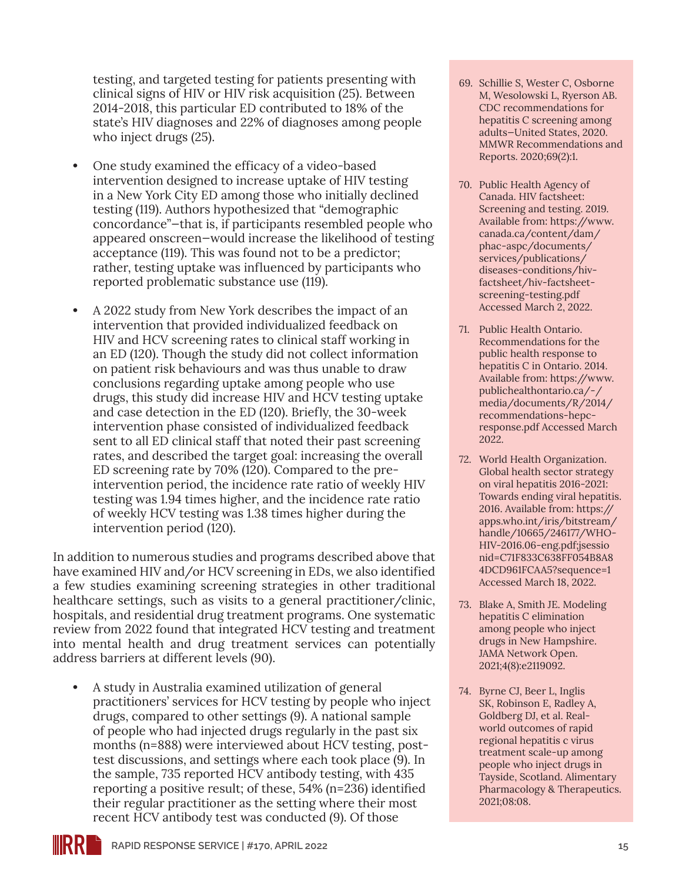testing, and targeted testing for patients presenting with clinical signs of HIV or HIV risk acquisition (25). Between 2014-2018, this particular ED contributed to 18% of the state's HIV diagnoses and 22% of diagnoses among people who inject drugs (25).

- **•** One study examined the efficacy of a video-based intervention designed to increase uptake of HIV testing in a New York City ED among those who initially declined testing (119). Authors hypothesized that "demographic concordance"—that is, if participants resembled people who appeared onscreen—would increase the likelihood of testing acceptance (119). This was found not to be a predictor; rather, testing uptake was influenced by participants who reported problematic substance use (119).
- **•** A 2022 study from New York describes the impact of an intervention that provided individualized feedback on HIV and HCV screening rates to clinical staff working in an ED (120). Though the study did not collect information on patient risk behaviours and was thus unable to draw conclusions regarding uptake among people who use drugs, this study did increase HIV and HCV testing uptake and case detection in the ED (120). Briefly, the 30-week intervention phase consisted of individualized feedback sent to all ED clinical staff that noted their past screening rates, and described the target goal: increasing the overall ED screening rate by 70% (120). Compared to the preintervention period, the incidence rate ratio of weekly HIV testing was 1.94 times higher, and the incidence rate ratio of weekly HCV testing was 1.38 times higher during the intervention period (120).

In addition to numerous studies and programs described above that have examined HIV and/or HCV screening in EDs, we also identified a few studies examining screening strategies in other traditional healthcare settings, such as visits to a general practitioner/clinic, hospitals, and residential drug treatment programs. One systematic review from 2022 found that integrated HCV testing and treatment into mental health and drug treatment services can potentially address barriers at different levels (90).

**•** A study in Australia examined utilization of general practitioners' services for HCV testing by people who inject drugs, compared to other settings (9). A national sample of people who had injected drugs regularly in the past six months (n=888) were interviewed about HCV testing, posttest discussions, and settings where each took place (9). In the sample, 735 reported HCV antibody testing, with 435 reporting a positive result; of these, 54% (n=236) identified their regular practitioner as the setting where their most recent HCV antibody test was conducted (9). Of those

- 69. Schillie S, Wester C, Osborne M, Wesolowski L, Ryerson AB. CDC recommendations for hepatitis C screening among adults—United States, 2020. MMWR Recommendations and Reports. 2020;69(2):1.
- 70. Public Health Agency of Canada. HIV factsheet: Screening and testing. 2019. Available from: [https://www.](https://www.canada.ca/content/dam/phac-aspc/documents/services/publications/diseases-conditions/hiv-factsheet/hiv-factsheet-screening-testing.pdf) [canada.ca/content/dam/](https://www.canada.ca/content/dam/phac-aspc/documents/services/publications/diseases-conditions/hiv-factsheet/hiv-factsheet-screening-testing.pdf) [phac-aspc/documents/](https://www.canada.ca/content/dam/phac-aspc/documents/services/publications/diseases-conditions/hiv-factsheet/hiv-factsheet-screening-testing.pdf) [services/publications/](https://www.canada.ca/content/dam/phac-aspc/documents/services/publications/diseases-conditions/hiv-factsheet/hiv-factsheet-screening-testing.pdf) [diseases-conditions/hiv](https://www.canada.ca/content/dam/phac-aspc/documents/services/publications/diseases-conditions/hiv-factsheet/hiv-factsheet-screening-testing.pdf)[factsheet/hiv-factsheet](https://www.canada.ca/content/dam/phac-aspc/documents/services/publications/diseases-conditions/hiv-factsheet/hiv-factsheet-screening-testing.pdf)[screening-testing.pdf](https://www.canada.ca/content/dam/phac-aspc/documents/services/publications/diseases-conditions/hiv-factsheet/hiv-factsheet-screening-testing.pdf) Accessed March 2, 2022.
- 71. Public Health Ontario. Recommendations for the public health response to hepatitis C in Ontario. 2014. Available from: [https://www.](https://www.publichealthontario.ca/-/media/documents/R/2014/recommendations-hepc-response.pdf) [publichealthontario.ca/-/](https://www.publichealthontario.ca/-/media/documents/R/2014/recommendations-hepc-response.pdf) [media/documents/R/2014/](https://www.publichealthontario.ca/-/media/documents/R/2014/recommendations-hepc-response.pdf) [recommendations-hepc](https://www.publichealthontario.ca/-/media/documents/R/2014/recommendations-hepc-response.pdf)[response.pdf](https://www.publichealthontario.ca/-/media/documents/R/2014/recommendations-hepc-response.pdf) Accessed March 2022.
- 72. World Health Organization. Global health sector strategy on viral hepatitis 2016-2021: Towards ending viral hepatitis. 2016. Available from: [https://](https://apps.who.int/iris/bitstream/handle/10665/246177/WHO-HIV-2016.06-eng.pdf;jsessionid=C71F833C638FF054B8A84DCD961FCAA5?sequence=1) [apps.who.int/iris/bitstream/](https://apps.who.int/iris/bitstream/handle/10665/246177/WHO-HIV-2016.06-eng.pdf;jsessionid=C71F833C638FF054B8A84DCD961FCAA5?sequence=1) [handle/10665/246177/WHO-](https://apps.who.int/iris/bitstream/handle/10665/246177/WHO-HIV-2016.06-eng.pdf;jsessionid=C71F833C638FF054B8A84DCD961FCAA5?sequence=1)[HIV-2016.06-eng.pdf;jsessio](https://apps.who.int/iris/bitstream/handle/10665/246177/WHO-HIV-2016.06-eng.pdf;jsessionid=C71F833C638FF054B8A84DCD961FCAA5?sequence=1) [nid=C71F833C638FF054B8A8](https://apps.who.int/iris/bitstream/handle/10665/246177/WHO-HIV-2016.06-eng.pdf;jsessionid=C71F833C638FF054B8A84DCD961FCAA5?sequence=1) [4DCD961FCAA5?sequence=1](https://apps.who.int/iris/bitstream/handle/10665/246177/WHO-HIV-2016.06-eng.pdf;jsessionid=C71F833C638FF054B8A84DCD961FCAA5?sequence=1) Accessed March 18, 2022.
- 73. Blake A, Smith JE. Modeling hepatitis C elimination among people who inject drugs in New Hampshire. JAMA Network Open. 2021;4(8):e2119092.
- 74. Byrne CJ, Beer L, Inglis SK, Robinson E, Radley A, Goldberg DJ, et al. Realworld outcomes of rapid regional hepatitis c virus treatment scale-up among people who inject drugs in Tayside, Scotland. Alimentary Pharmacology & Therapeutics. 2021;08:08.

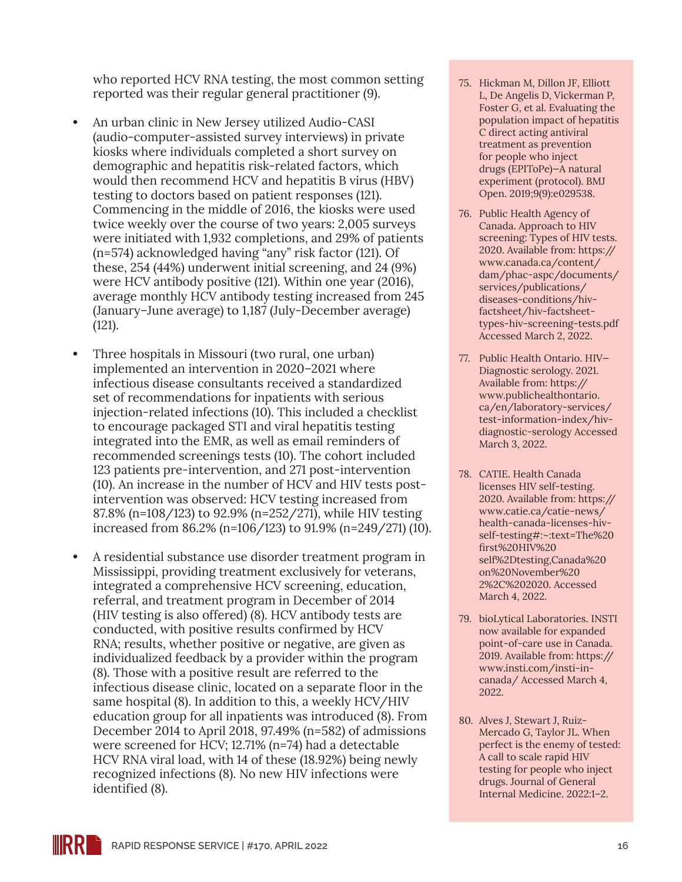who reported HCV RNA testing, the most common setting reported was their regular general practitioner (9).

- **•** An urban clinic in New Jersey utilized Audio-CASI (audio-computer-assisted survey interviews) in private kiosks where individuals completed a short survey on demographic and hepatitis risk-related factors, which would then recommend HCV and hepatitis B virus (HBV) testing to doctors based on patient responses (121). Commencing in the middle of 2016, the kiosks were used twice weekly over the course of two years: 2,005 surveys were initiated with 1,932 completions, and 29% of patients (n=574) acknowledged having "any" risk factor (121). Of these, 254 (44%) underwent initial screening, and 24 (9%) were HCV antibody positive (121). Within one year (2016), average monthly HCV antibody testing increased from 245 (January–June average) to 1,187 (July-December average) (121).
- **•** Three hospitals in Missouri (two rural, one urban) implemented an intervention in 2020–2021 where infectious disease consultants received a standardized set of recommendations for inpatients with serious injection-related infections (10). This included a checklist to encourage packaged STI and viral hepatitis testing integrated into the EMR, as well as email reminders of recommended screenings tests (10). The cohort included 123 patients pre-intervention, and 271 post-intervention (10). An increase in the number of HCV and HIV tests postintervention was observed: HCV testing increased from 87.8% (n=108/123) to 92.9% (n=252/271), while HIV testing increased from 86.2% (n=106/123) to 91.9% (n=249/271) (10).
- **•** A residential substance use disorder treatment program in Mississippi, providing treatment exclusively for veterans, integrated a comprehensive HCV screening, education, referral, and treatment program in December of 2014 (HIV testing is also offered) (8). HCV antibody tests are conducted, with positive results confirmed by HCV RNA; results, whether positive or negative, are given as individualized feedback by a provider within the program (8). Those with a positive result are referred to the infectious disease clinic, located on a separate floor in the same hospital (8). In addition to this, a weekly HCV/HIV education group for all inpatients was introduced (8). From December 2014 to April 2018, 97.49% (n=582) of admissions were screened for HCV; 12.71% (n=74) had a detectable HCV RNA viral load, with 14 of these (18.92%) being newly recognized infections (8). No new HIV infections were identified (8).
- 75. Hickman M, Dillon JF, Elliott L, De Angelis D, Vickerman P, Foster G, et al. Evaluating the population impact of hepatitis C direct acting antiviral treatment as prevention for people who inject drugs (EPIToPe)—A natural experiment (protocol). BMJ Open. 2019;9(9):e029538.
- 76. Public Health Agency of Canada. Approach to HIV screening: Types of HIV tests. 2020. Available from: [https://](https://www.canada.ca/content/dam/phac-aspc/documents/services/publications/diseases-conditions/hiv-factsheet/hiv-factsheet-types-hiv-screening-tests.pdf) [www.canada.ca/content/](https://www.canada.ca/content/dam/phac-aspc/documents/services/publications/diseases-conditions/hiv-factsheet/hiv-factsheet-types-hiv-screening-tests.pdf) [dam/phac-aspc/documents/](https://www.canada.ca/content/dam/phac-aspc/documents/services/publications/diseases-conditions/hiv-factsheet/hiv-factsheet-types-hiv-screening-tests.pdf) [services/publications/](https://www.canada.ca/content/dam/phac-aspc/documents/services/publications/diseases-conditions/hiv-factsheet/hiv-factsheet-types-hiv-screening-tests.pdf) [diseases-conditions/hiv](https://www.canada.ca/content/dam/phac-aspc/documents/services/publications/diseases-conditions/hiv-factsheet/hiv-factsheet-types-hiv-screening-tests.pdf)[factsheet/hiv-factsheet](https://www.canada.ca/content/dam/phac-aspc/documents/services/publications/diseases-conditions/hiv-factsheet/hiv-factsheet-types-hiv-screening-tests.pdf)[types-hiv-screening-tests.pdf](https://www.canada.ca/content/dam/phac-aspc/documents/services/publications/diseases-conditions/hiv-factsheet/hiv-factsheet-types-hiv-screening-tests.pdf) Accessed March 2, 2022.
- 77. Public Health Ontario. HIV— Diagnostic serology. 2021. Available from: [https://](https://www.publichealthontario.ca/en/laboratory-services/test-information-index/hiv-diagnostic-serology) [www.publichealthontario.](https://www.publichealthontario.ca/en/laboratory-services/test-information-index/hiv-diagnostic-serology) [ca/en/laboratory-services/](https://www.publichealthontario.ca/en/laboratory-services/test-information-index/hiv-diagnostic-serology) [test-information-index/hiv](https://www.publichealthontario.ca/en/laboratory-services/test-information-index/hiv-diagnostic-serology)[diagnostic-serology](https://www.publichealthontario.ca/en/laboratory-services/test-information-index/hiv-diagnostic-serology) Accessed March 3, 2022.
- 78. CATIE. Health Canada licenses HIV self-testing. 2020. Available from: [https://](https://www.catie.ca/catie-news/health-canada-licenses-hiv-self-testing#:~:text=The%20first%20HIV%20self%2Dtesting,Canada%20on%20November%202%2C%202020.) [www.catie.ca/catie-news/](https://www.catie.ca/catie-news/health-canada-licenses-hiv-self-testing#:~:text=The%20first%20HIV%20self%2Dtesting,Canada%20on%20November%202%2C%202020.) [health-canada-licenses-hiv](https://www.catie.ca/catie-news/health-canada-licenses-hiv-self-testing#:~:text=The%20first%20HIV%20self%2Dtesting,Canada%20on%20November%202%2C%202020.)[self-testing#:~:text=The%20](https://www.catie.ca/catie-news/health-canada-licenses-hiv-self-testing#:~:text=The%20first%20HIV%20self%2Dtesting,Canada%20on%20November%202%2C%202020.) [first%20HIV%20](https://www.catie.ca/catie-news/health-canada-licenses-hiv-self-testing#:~:text=The%20first%20HIV%20self%2Dtesting,Canada%20on%20November%202%2C%202020.) [self%2Dtesting,Canada%20](https://www.catie.ca/catie-news/health-canada-licenses-hiv-self-testing#:~:text=The%20first%20HIV%20self%2Dtesting,Canada%20on%20November%202%2C%202020.) [on%20November%20](https://www.catie.ca/catie-news/health-canada-licenses-hiv-self-testing#:~:text=The%20first%20HIV%20self%2Dtesting,Canada%20on%20November%202%2C%202020.) [2%2C%202020.](https://www.catie.ca/catie-news/health-canada-licenses-hiv-self-testing#:~:text=The%20first%20HIV%20self%2Dtesting,Canada%20on%20November%202%2C%202020.) Accessed March 4, 2022.
- 79. bioLytical Laboratories. INSTI now available for expanded point-of-care use in Canada. 2019. Available from: [https://](https://www.insti.com/insti-in-canada/) [www.insti.com/insti-in](https://www.insti.com/insti-in-canada/)[canada/](https://www.insti.com/insti-in-canada/) Accessed March 4, 2022.
- 80. Alves J, Stewart J, Ruiz-Mercado G, Taylor JL. When perfect is the enemy of tested: A call to scale rapid HIV testing for people who inject drugs. Journal of General Internal Medicine. 2022:1–2.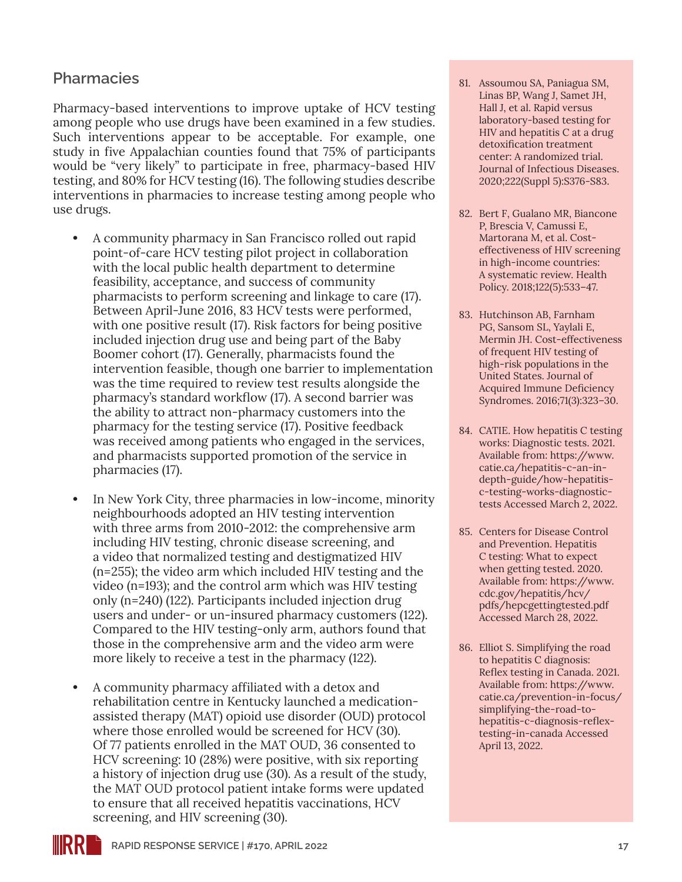### **Pharmacies**

Pharmacy-based interventions to improve uptake of HCV testing among people who use drugs have been examined in a few studies. Such interventions appear to be acceptable. For example, one study in five Appalachian counties found that 75% of participants would be "very likely" to participate in free, pharmacy-based HIV testing, and 80% for HCV testing (16). The following studies describe interventions in pharmacies to increase testing among people who use drugs.

- **•** A community pharmacy in San Francisco rolled out rapid point-of-care HCV testing pilot project in collaboration with the local public health department to determine feasibility, acceptance, and success of community pharmacists to perform screening and linkage to care (17). Between April-June 2016, 83 HCV tests were performed, with one positive result (17). Risk factors for being positive included injection drug use and being part of the Baby Boomer cohort (17). Generally, pharmacists found the intervention feasible, though one barrier to implementation was the time required to review test results alongside the pharmacy's standard workflow (17). A second barrier was the ability to attract non-pharmacy customers into the pharmacy for the testing service (17). Positive feedback was received among patients who engaged in the services, and pharmacists supported promotion of the service in pharmacies (17).
- **•** In New York City, three pharmacies in low-income, minority neighbourhoods adopted an HIV testing intervention with three arms from 2010-2012: the comprehensive arm including HIV testing, chronic disease screening, and a video that normalized testing and destigmatized HIV (n=255); the video arm which included HIV testing and the video (n=193); and the control arm which was HIV testing only (n=240) (122). Participants included injection drug users and under- or un-insured pharmacy customers (122). Compared to the HIV testing-only arm, authors found that those in the comprehensive arm and the video arm were more likely to receive a test in the pharmacy (122).
- **•** A community pharmacy affiliated with a detox and rehabilitation centre in Kentucky launched a medicationassisted therapy (MAT) opioid use disorder (OUD) protocol where those enrolled would be screened for HCV (30). Of 77 patients enrolled in the MAT OUD, 36 consented to HCV screening: 10 (28%) were positive, with six reporting a history of injection drug use (30). As a result of the study, the MAT OUD protocol patient intake forms were updated to ensure that all received hepatitis vaccinations, HCV screening, and HIV screening (30).
- 81. Assoumou SA, Paniagua SM, Linas BP, Wang J, Samet JH, Hall J, et al. Rapid versus laboratory-based testing for HIV and hepatitis C at a drug detoxification treatment center: A randomized trial. Journal of Infectious Diseases. 2020;222(Suppl 5):S376-S83.
- 82. Bert F, Gualano MR, Biancone P, Brescia V, Camussi E, Martorana M, et al. Costeffectiveness of HIV screening in high-income countries: A systematic review. Health Policy. 2018;122(5):533–47.
- 83. Hutchinson AB, Farnham PG, Sansom SL, Yaylali E, Mermin JH. Cost-effectiveness of frequent HIV testing of high-risk populations in the United States. Journal of Acquired Immune Deficiency Syndromes. 2016;71(3):323–30.
- 84. CATIE. How hepatitis C testing works: Diagnostic tests. 2021. Available from: [https://www.](https://www.catie.ca/hepatitis-c-an-in-depth-guide/how-hepatitis-c-testing-works-diagnostic-tests) [catie.ca/hepatitis-c-an-in](https://www.catie.ca/hepatitis-c-an-in-depth-guide/how-hepatitis-c-testing-works-diagnostic-tests)[depth-guide/how-hepatitis](https://www.catie.ca/hepatitis-c-an-in-depth-guide/how-hepatitis-c-testing-works-diagnostic-tests)[c-testing-works-diagnostic](https://www.catie.ca/hepatitis-c-an-in-depth-guide/how-hepatitis-c-testing-works-diagnostic-tests)[tests](https://www.catie.ca/hepatitis-c-an-in-depth-guide/how-hepatitis-c-testing-works-diagnostic-tests) Accessed March 2, 2022.
- 85. Centers for Disease Control and Prevention. Hepatitis C testing: What to expect when getting tested. 2020. Available from: [https://www.](https://www.cdc.gov/hepatitis/hcv/pdfs/hepcgettingtested.pdf) [cdc.gov/hepatitis/hcv/](https://www.cdc.gov/hepatitis/hcv/pdfs/hepcgettingtested.pdf) [pdfs/hepcgettingtested.pdf](https://www.cdc.gov/hepatitis/hcv/pdfs/hepcgettingtested.pdf) Accessed March 28, 2022.
- 86. Elliot S. Simplifying the road to hepatitis C diagnosis: Reflex testing in Canada. 2021. Available from: [https://www.](https://www.catie.ca/prevention-in-focus/simplifying-the-road-to-hepatitis-c-diagnosis-reflex-testing-in-canada) [catie.ca/prevention-in-focus/](https://www.catie.ca/prevention-in-focus/simplifying-the-road-to-hepatitis-c-diagnosis-reflex-testing-in-canada) [simplifying-the-road-to](https://www.catie.ca/prevention-in-focus/simplifying-the-road-to-hepatitis-c-diagnosis-reflex-testing-in-canada)[hepatitis-c-diagnosis-reflex](https://www.catie.ca/prevention-in-focus/simplifying-the-road-to-hepatitis-c-diagnosis-reflex-testing-in-canada)[testing-in-canada](https://www.catie.ca/prevention-in-focus/simplifying-the-road-to-hepatitis-c-diagnosis-reflex-testing-in-canada) Accessed April 13, 2022.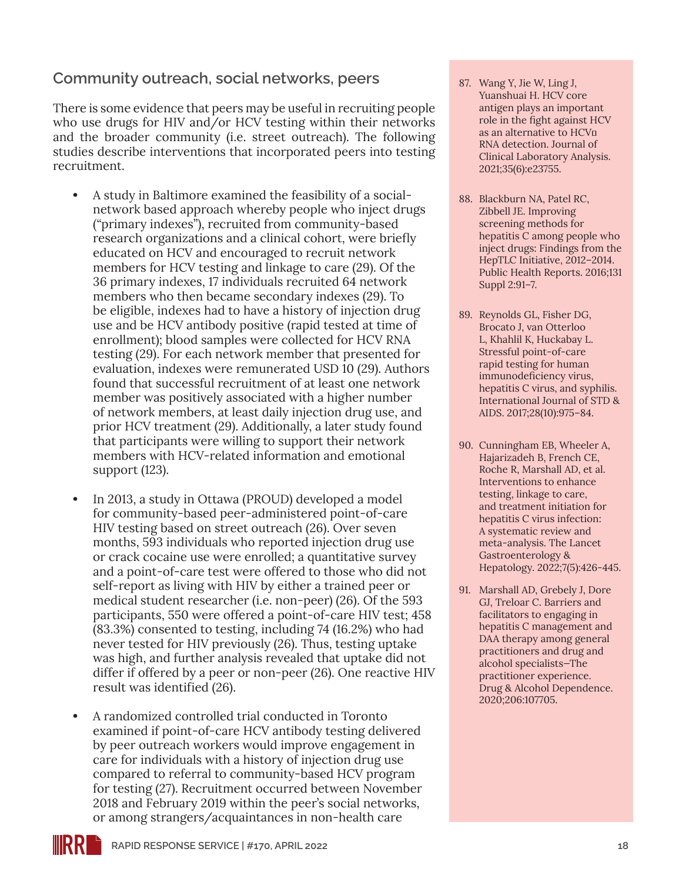### **Community outreach, social networks, peers**

There is some evidence that peers may be useful in recruiting people who use drugs for HIV and/or HCV testing within their networks and the broader community (i.e. street outreach). The following studies describe interventions that incorporated peers into testing recruitment.

- **•** A study in Baltimore examined the feasibility of a socialnetwork based approach whereby people who inject drugs ("primary indexes"), recruited from community-based research organizations and a clinical cohort, were briefly educated on HCV and encouraged to recruit network members for HCV testing and linkage to care (29). Of the 36 primary indexes, 17 individuals recruited 64 network members who then became secondary indexes (29). To be eligible, indexes had to have a history of injection drug use and be HCV antibody positive (rapid tested at time of enrollment); blood samples were collected for HCV RNA testing (29). For each network member that presented for evaluation, indexes were remunerated USD 10 (29). Authors found that successful recruitment of at least one network member was positively associated with a higher number of network members, at least daily injection drug use, and prior HCV treatment (29). Additionally, a later study found that participants were willing to support their network members with HCV-related information and emotional support (123).
- **•** In 2013, a study in Ottawa (PROUD) developed a model for community-based peer-administered point-of-care HIV testing based on street outreach (26). Over seven months, 593 individuals who reported injection drug use or crack cocaine use were enrolled; a quantitative survey and a point-of-care test were offered to those who did not self-report as living with HIV by either a trained peer or medical student researcher (i.e. non-peer) (26). Of the 593 participants, 550 were offered a point-of-care HIV test; 458 (83.3%) consented to testing, including 74 (16.2%) who had never tested for HIV previously (26). Thus, testing uptake was high, and further analysis revealed that uptake did not differ if offered by a peer or non-peer (26). One reactive HIV result was identified (26).
- **•** A randomized controlled trial conducted in Toronto examined if point-of-care HCV antibody testing delivered by peer outreach workers would improve engagement in care for individuals with a history of injection drug use compared to referral to community-based HCV program for testing (27). Recruitment occurred between November 2018 and February 2019 within the peer's social networks, or among strangers/acquaintances in non-health care
- 87. Wang Y, Jie W, Ling J, Yuanshuai H. HCV core antigen plays an important role in the fight against HCV as an alternative to HCV<sup>I</sup> RNA detection. Journal of Clinical Laboratory Analysis. 2021;35(6):e23755.
- 88. Blackburn NA, Patel RC, Zibbell JE. Improving screening methods for hepatitis C among people who inject drugs: Findings from the HepTLC Initiative, 2012–2014. Public Health Reports. 2016;131 Suppl 2:91–7.
- 89. Reynolds GL, Fisher DG, Brocato J, van Otterloo L, Khahlil K, Huckabay L. Stressful point-of-care rapid testing for human immunodeficiency virus, hepatitis C virus, and syphilis. International Journal of STD & AIDS. 2017;28(10):975–84.
- 90. Cunningham EB, Wheeler A, Hajarizadeh B, French CE, Roche R, Marshall AD, et al. Interventions to enhance testing, linkage to care, and treatment initiation for hepatitis C virus infection: A systematic review and meta-analysis. The Lancet Gastroenterology & Hepatology. 2022;7(5):426-445.
- 91. Marshall AD, Grebely J, Dore GJ, Treloar C. Barriers and facilitators to engaging in hepatitis C management and DAA therapy among general practitioners and drug and alcohol specialists—The practitioner experience. Drug & Alcohol Dependence. 2020;206:107705.

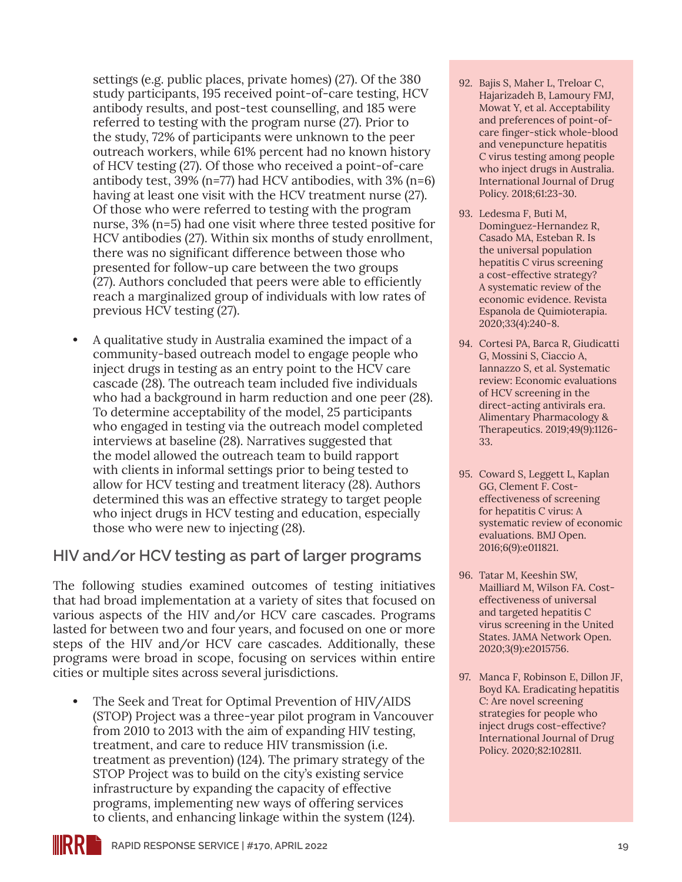settings (e.g. public places, private homes) (27). Of the 380 study participants, 195 received point-of-care testing, HCV antibody results, and post-test counselling, and 185 were referred to testing with the program nurse (27). Prior to the study, 72% of participants were unknown to the peer outreach workers, while 61% percent had no known history of HCV testing (27). Of those who received a point-of-care antibody test, 39% (n=77) had HCV antibodies, with 3% (n=6) having at least one visit with the HCV treatment nurse (27). Of those who were referred to testing with the program nurse, 3% (n=5) had one visit where three tested positive for HCV antibodies (27). Within six months of study enrollment, there was no significant difference between those who presented for follow-up care between the two groups (27). Authors concluded that peers were able to efficiently reach a marginalized group of individuals with low rates of previous HCV testing (27).

**•** A qualitative study in Australia examined the impact of a community-based outreach model to engage people who inject drugs in testing as an entry point to the HCV care cascade (28). The outreach team included five individuals who had a background in harm reduction and one peer (28). To determine acceptability of the model, 25 participants who engaged in testing via the outreach model completed interviews at baseline (28). Narratives suggested that the model allowed the outreach team to build rapport with clients in informal settings prior to being tested to allow for HCV testing and treatment literacy (28). Authors determined this was an effective strategy to target people who inject drugs in HCV testing and education, especially those who were new to injecting (28).

#### **HIV and/or HCV testing as part of larger programs**

The following studies examined outcomes of testing initiatives that had broad implementation at a variety of sites that focused on various aspects of the HIV and/or HCV care cascades. Programs lasted for between two and four years, and focused on one or more steps of the HIV and/or HCV care cascades. Additionally, these programs were broad in scope, focusing on services within entire cities or multiple sites across several jurisdictions.

**•** The Seek and Treat for Optimal Prevention of HIV/AIDS (STOP) Project was a three-year pilot program in Vancouver from 2010 to 2013 with the aim of expanding HIV testing, treatment, and care to reduce HIV transmission (i.e. treatment as prevention) (124). The primary strategy of the STOP Project was to build on the city's existing service infrastructure by expanding the capacity of effective programs, implementing new ways of offering services to clients, and enhancing linkage within the system (124).

- 92. Bajis S, Maher L, Treloar C, Hajarizadeh B, Lamoury FMJ, Mowat Y, et al. Acceptability and preferences of point-ofcare finger-stick whole-blood and venepuncture hepatitis C virus testing among people who inject drugs in Australia. International Journal of Drug Policy. 2018;61:23-30.
- 93. Ledesma F, Buti M, Dominguez-Hernandez R, Casado MA, Esteban R. Is the universal population hepatitis C virus screening a cost-effective strategy? A systematic review of the economic evidence. Revista Espanola de Quimioterapia. 2020;33(4):240-8.
- 94. Cortesi PA, Barca R, Giudicatti G, Mossini S, Ciaccio A, Iannazzo S, et al. Systematic review: Economic evaluations of HCV screening in the direct-acting antivirals era. Alimentary Pharmacology & Therapeutics. 2019;49(9):1126- 33.
- 95. Coward S, Leggett L, Kaplan GG, Clement F. Costeffectiveness of screening for hepatitis C virus: A systematic review of economic evaluations. BMJ Open. 2016;6(9):e011821.
- 96. Tatar M, Keeshin SW, Mailliard M, Wilson FA. Costeffectiveness of universal and targeted hepatitis C virus screening in the United States. JAMA Network Open. 2020;3(9):e2015756.
- 97. Manca F, Robinson E, Dillon JF, Boyd KA. Eradicating hepatitis C: Are novel screening strategies for people who inject drugs cost-effective? International Journal of Drug Policy. 2020;82:102811.

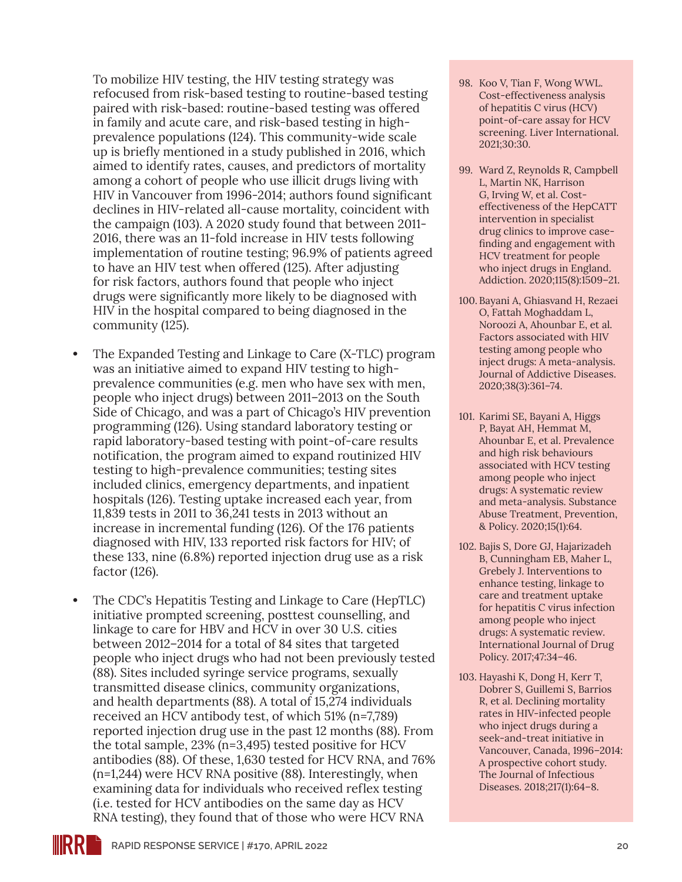To mobilize HIV testing, the HIV testing strategy was refocused from risk-based testing to routine-based testing paired with risk-based: routine-based testing was offered in family and acute care, and risk-based testing in highprevalence populations (124). This community-wide scale up is briefly mentioned in a study published in 2016, which aimed to identify rates, causes, and predictors of mortality among a cohort of people who use illicit drugs living with HIV in Vancouver from 1996-2014; authors found significant declines in HIV-related all-cause mortality, coincident with the campaign (103). A 2020 study found that between 2011- 2016, there was an 11-fold increase in HIV tests following implementation of routine testing; 96.9% of patients agreed to have an HIV test when offered (125). After adjusting for risk factors, authors found that people who inject drugs were significantly more likely to be diagnosed with HIV in the hospital compared to being diagnosed in the community (125).

- **•** The Expanded Testing and Linkage to Care (X-TLC) program was an initiative aimed to expand HIV testing to highprevalence communities (e.g. men who have sex with men, people who inject drugs) between 2011–2013 on the South Side of Chicago, and was a part of Chicago's HIV prevention programming (126). Using standard laboratory testing or rapid laboratory-based testing with point-of-care results notification, the program aimed to expand routinized HIV testing to high-prevalence communities; testing sites included clinics, emergency departments, and inpatient hospitals (126). Testing uptake increased each year, from 11,839 tests in 2011 to 36,241 tests in 2013 without an increase in incremental funding (126). Of the 176 patients diagnosed with HIV, 133 reported risk factors for HIV; of these 133, nine (6.8%) reported injection drug use as a risk factor (126).
- **•** The CDC's Hepatitis Testing and Linkage to Care (HepTLC) initiative prompted screening, posttest counselling, and linkage to care for HBV and HCV in over 30 U.S. cities between 2012–2014 for a total of 84 sites that targeted people who inject drugs who had not been previously tested (88). Sites included syringe service programs, sexually transmitted disease clinics, community organizations, and health departments (88). A total of 15,274 individuals received an HCV antibody test, of which 51% (n=7,789) reported injection drug use in the past 12 months (88). From the total sample, 23% (n=3,495) tested positive for HCV antibodies (88). Of these, 1,630 tested for HCV RNA, and 76% (n=1,244) were HCV RNA positive (88). Interestingly, when examining data for individuals who received reflex testing (i.e. tested for HCV antibodies on the same day as HCV RNA testing), they found that of those who were HCV RNA
- 98. Koo V, Tian F, Wong WWL. Cost-effectiveness analysis of hepatitis C virus (HCV) point-of-care assay for HCV screening. Liver International. 2021;30:30.
- 99. Ward Z, Reynolds R, Campbell L, Martin NK, Harrison G, Irving W, et al. Costeffectiveness of the HepCATT intervention in specialist drug clinics to improve casefinding and engagement with HCV treatment for people who inject drugs in England. Addiction. 2020;115(8):1509–21.
- 100. Bayani A, Ghiasvand H, Rezaei O, Fattah Moghaddam L, Noroozi A, Ahounbar E, et al. Factors associated with HIV testing among people who inject drugs: A meta-analysis. Journal of Addictive Diseases. 2020;38(3):361–74.
- 101. Karimi SE, Bayani A, Higgs P, Bayat AH, Hemmat M, Ahounbar E, et al. Prevalence and high risk behaviours associated with HCV testing among people who inject drugs: A systematic review and meta-analysis. Substance Abuse Treatment, Prevention, & Policy. 2020;15(1):64.
- 102. Bajis S, Dore GJ, Hajarizadeh B, Cunningham EB, Maher L, Grebely J. Interventions to enhance testing, linkage to care and treatment uptake for hepatitis C virus infection among people who inject drugs: A systematic review. International Journal of Drug Policy. 2017;47:34–46.
- 103. Hayashi K, Dong H, Kerr T, Dobrer S, Guillemi S, Barrios R, et al. Declining mortality rates in HIV-infected people who inject drugs during a seek-and-treat initiative in Vancouver, Canada, 1996–2014: A prospective cohort study. The Journal of Infectious Diseases. 2018;217(1):64–8.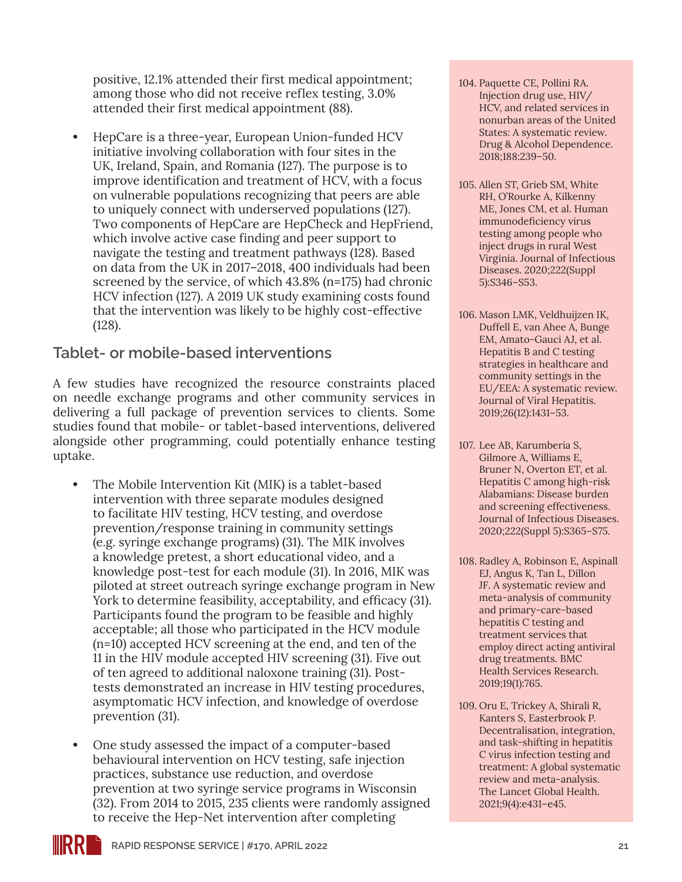positive, 12.1% attended their first medical appointment; among those who did not receive reflex testing, 3.0% attended their first medical appointment (88).

**•** HepCare is a three-year, European Union-funded HCV initiative involving collaboration with four sites in the UK, Ireland, Spain, and Romania (127). The purpose is to improve identification and treatment of HCV, with a focus on vulnerable populations recognizing that peers are able to uniquely connect with underserved populations (127). Two components of HepCare are HepCheck and HepFriend, which involve active case finding and peer support to navigate the testing and treatment pathways (128). Based on data from the UK in 2017–2018, 400 individuals had been screened by the service, of which 43.8% (n=175) had chronic HCV infection (127). A 2019 UK study examining costs found that the intervention was likely to be highly cost-effective (128).

#### **Tablet- or mobile-based interventions**

A few studies have recognized the resource constraints placed on needle exchange programs and other community services in delivering a full package of prevention services to clients. Some studies found that mobile- or tablet-based interventions, delivered alongside other programming, could potentially enhance testing uptake.

- **•** The Mobile Intervention Kit (MIK) is a tablet-based intervention with three separate modules designed to facilitate HIV testing, HCV testing, and overdose prevention/response training in community settings (e.g. syringe exchange programs) (31). The MIK involves a knowledge pretest, a short educational video, and a knowledge post-test for each module (31). In 2016, MIK was piloted at street outreach syringe exchange program in New York to determine feasibility, acceptability, and efficacy (31). Participants found the program to be feasible and highly acceptable; all those who participated in the HCV module (n=10) accepted HCV screening at the end, and ten of the 11 in the HIV module accepted HIV screening (31). Five out of ten agreed to additional naloxone training (31). Posttests demonstrated an increase in HIV testing procedures, asymptomatic HCV infection, and knowledge of overdose prevention (31).
- **•** One study assessed the impact of a computer-based behavioural intervention on HCV testing, safe injection practices, substance use reduction, and overdose prevention at two syringe service programs in Wisconsin (32). From 2014 to 2015, 235 clients were randomly assigned to receive the Hep-Net intervention after completing
- 104. Paquette CE, Pollini RA. Injection drug use, HIV/ HCV, and related services in nonurban areas of the United States: A systematic review. Drug & Alcohol Dependence. 2018;188:239–50.
- 105. Allen ST, Grieb SM, White RH, O'Rourke A, Kilkenny ME, Jones CM, et al. Human immunodeficiency virus testing among people who inject drugs in rural West Virginia. Journal of Infectious Diseases. 2020;222(Suppl 5):S346–S53.
- 106. Mason LMK, Veldhuijzen IK, Duffell E, van Ahee A, Bunge EM, Amato-Gauci AJ, et al. Hepatitis B and C testing strategies in healthcare and community settings in the EU/EEA: A systematic review. Journal of Viral Hepatitis. 2019;26(12):1431–53.
- 107. Lee AB, Karumberia S, Gilmore A, Williams E, Bruner N, Overton ET, et al. Hepatitis C among high-risk Alabamians: Disease burden and screening effectiveness. Journal of Infectious Diseases. 2020;222(Suppl 5):S365–S75.
- 108. Radley A, Robinson E, Aspinall EJ, Angus K, Tan L, Dillon JF. A systematic review and meta-analysis of community and primary-care-based hepatitis C testing and treatment services that employ direct acting antiviral drug treatments. BMC Health Services Research. 2019;19(1):765.
- 109. Oru E, Trickey A, Shirali R, Kanters S, Easterbrook P. Decentralisation, integration, and task-shifting in hepatitis C virus infection testing and treatment: A global systematic review and meta-analysis. The Lancet Global Health. 2021;9(4):e431–e45.

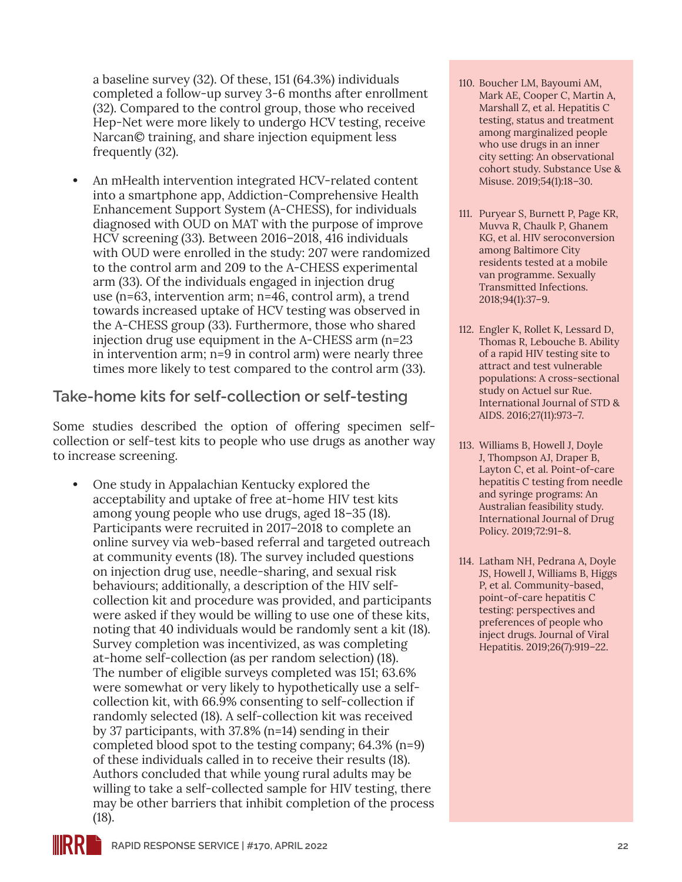a baseline survey (32). Of these, 151 (64.3%) individuals completed a follow-up survey 3-6 months after enrollment (32). Compared to the control group, those who received Hep-Net were more likely to undergo HCV testing, receive Narcan© training, and share injection equipment less frequently (32).

**•** An mHealth intervention integrated HCV-related content into a smartphone app, Addiction-Comprehensive Health Enhancement Support System (A-CHESS), for individuals diagnosed with OUD on MAT with the purpose of improve HCV screening (33). Between 2016–2018, 416 individuals with OUD were enrolled in the study: 207 were randomized to the control arm and 209 to the A-CHESS experimental arm (33). Of the individuals engaged in injection drug use (n=63, intervention arm; n=46, control arm), a trend towards increased uptake of HCV testing was observed in the A-CHESS group (33). Furthermore, those who shared injection drug use equipment in the A-CHESS arm (n=23 in intervention arm; n=9 in control arm) were nearly three times more likely to test compared to the control arm (33).

#### **Take-home kits for self-collection or self-testing**

Some studies described the option of offering specimen selfcollection or self-test kits to people who use drugs as another way to increase screening.

**•** One study in Appalachian Kentucky explored the acceptability and uptake of free at-home HIV test kits among young people who use drugs, aged 18–35 (18). Participants were recruited in 2017–2018 to complete an online survey via web-based referral and targeted outreach at community events (18). The survey included questions on injection drug use, needle-sharing, and sexual risk behaviours; additionally, a description of the HIV selfcollection kit and procedure was provided, and participants were asked if they would be willing to use one of these kits, noting that 40 individuals would be randomly sent a kit (18). Survey completion was incentivized, as was completing at-home self-collection (as per random selection) (18). The number of eligible surveys completed was 151; 63.6% were somewhat or very likely to hypothetically use a selfcollection kit, with 66.9% consenting to self-collection if randomly selected (18). A self-collection kit was received by 37 participants, with 37.8% (n=14) sending in their completed blood spot to the testing company; 64.3% (n=9) of these individuals called in to receive their results (18). Authors concluded that while young rural adults may be willing to take a self-collected sample for HIV testing, there may be other barriers that inhibit completion of the process (18).

- 110. Boucher LM, Bayoumi AM, Mark AE, Cooper C, Martin A, Marshall Z, et al. Hepatitis C testing, status and treatment among marginalized people who use drugs in an inner city setting: An observational cohort study. Substance Use & Misuse. 2019;54(1):18–30.
- 111. Puryear S, Burnett P, Page KR, Muvva R, Chaulk P, Ghanem KG, et al. HIV seroconversion among Baltimore City residents tested at a mobile van programme. Sexually Transmitted Infections. 2018;94(1):37–9.
- 112. Engler K, Rollet K, Lessard D, Thomas R, Lebouche B. Ability of a rapid HIV testing site to attract and test vulnerable populations: A cross-sectional study on Actuel sur Rue. International Journal of STD & AIDS. 2016;27(11):973–7.
- 113. Williams B, Howell J, Doyle J, Thompson AJ, Draper B, Layton C, et al. Point-of-care hepatitis C testing from needle and syringe programs: An Australian feasibility study. International Journal of Drug Policy. 2019;72:91–8.
- 114. Latham NH, Pedrana A, Doyle JS, Howell J, Williams B, Higgs P, et al. Community-based, point-of-care hepatitis C testing: perspectives and preferences of people who inject drugs. Journal of Viral Hepatitis. 2019;26(7):919–22.

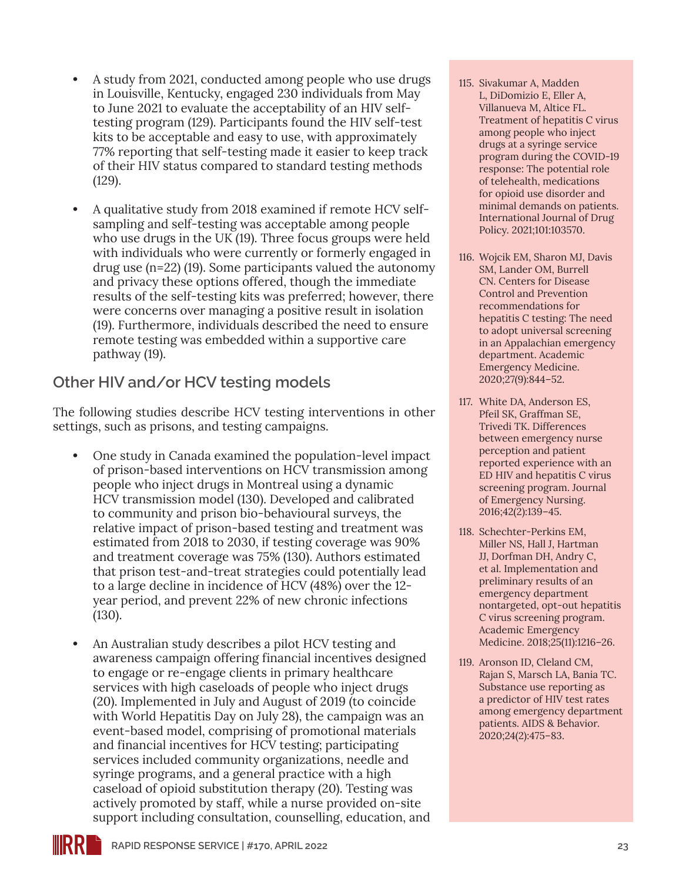- **•** A study from 2021, conducted among people who use drugs in Louisville, Kentucky, engaged 230 individuals from May to June 2021 to evaluate the acceptability of an HIV selftesting program (129). Participants found the HIV self-test kits to be acceptable and easy to use, with approximately 77% reporting that self-testing made it easier to keep track of their HIV status compared to standard testing methods (129).
- **•** A qualitative study from 2018 examined if remote HCV selfsampling and self-testing was acceptable among people who use drugs in the UK (19). Three focus groups were held with individuals who were currently or formerly engaged in drug use (n=22) (19). Some participants valued the autonomy and privacy these options offered, though the immediate results of the self-testing kits was preferred; however, there were concerns over managing a positive result in isolation (19). Furthermore, individuals described the need to ensure remote testing was embedded within a supportive care pathway (19).

#### **Other HIV and/or HCV testing models**

The following studies describe HCV testing interventions in other settings, such as prisons, and testing campaigns.

- **•** One study in Canada examined the population-level impact of prison-based interventions on HCV transmission among people who inject drugs in Montreal using a dynamic HCV transmission model (130). Developed and calibrated to community and prison bio-behavioural surveys, the relative impact of prison-based testing and treatment was estimated from 2018 to 2030, if testing coverage was 90% and treatment coverage was 75% (130). Authors estimated that prison test-and-treat strategies could potentially lead to a large decline in incidence of HCV (48%) over the 12 year period, and prevent 22% of new chronic infections (130).
- **•** An Australian study describes a pilot HCV testing and awareness campaign offering financial incentives designed to engage or re-engage clients in primary healthcare services with high caseloads of people who inject drugs (20). Implemented in July and August of 2019 (to coincide with World Hepatitis Day on July 28), the campaign was an event-based model, comprising of promotional materials and financial incentives for HCV testing; participating services included community organizations, needle and syringe programs, and a general practice with a high caseload of opioid substitution therapy (20). Testing was actively promoted by staff, while a nurse provided on-site support including consultation, counselling, education, and
- 115. Sivakumar A, Madden L, DiDomizio E, Eller A, Villanueva M, Altice FL. Treatment of hepatitis C virus among people who inject drugs at a syringe service program during the COVID-19 response: The potential role of telehealth, medications for opioid use disorder and minimal demands on patients. International Journal of Drug Policy. 2021;101:103570.
- 116. Wojcik EM, Sharon MJ, Davis SM, Lander OM, Burrell CN. Centers for Disease Control and Prevention recommendations for hepatitis C testing: The need to adopt universal screening in an Appalachian emergency department. Academic Emergency Medicine. 2020;27(9):844–52.
- 117. White DA, Anderson ES, Pfeil SK, Graffman SE, Trivedi TK. Differences between emergency nurse perception and patient reported experience with an ED HIV and hepatitis C virus screening program. Journal of Emergency Nursing. 2016;42(2):139–45.
- 118. Schechter-Perkins EM, Miller NS, Hall J, Hartman JJ, Dorfman DH, Andry C, et al. Implementation and preliminary results of an emergency department nontargeted, opt-out hepatitis C virus screening program. Academic Emergency Medicine. 2018;25(11):1216–26.
- 119. Aronson ID, Cleland CM, Rajan S, Marsch LA, Bania TC. Substance use reporting as a predictor of HIV test rates among emergency department patients. AIDS & Behavior. 2020;24(2):475–83.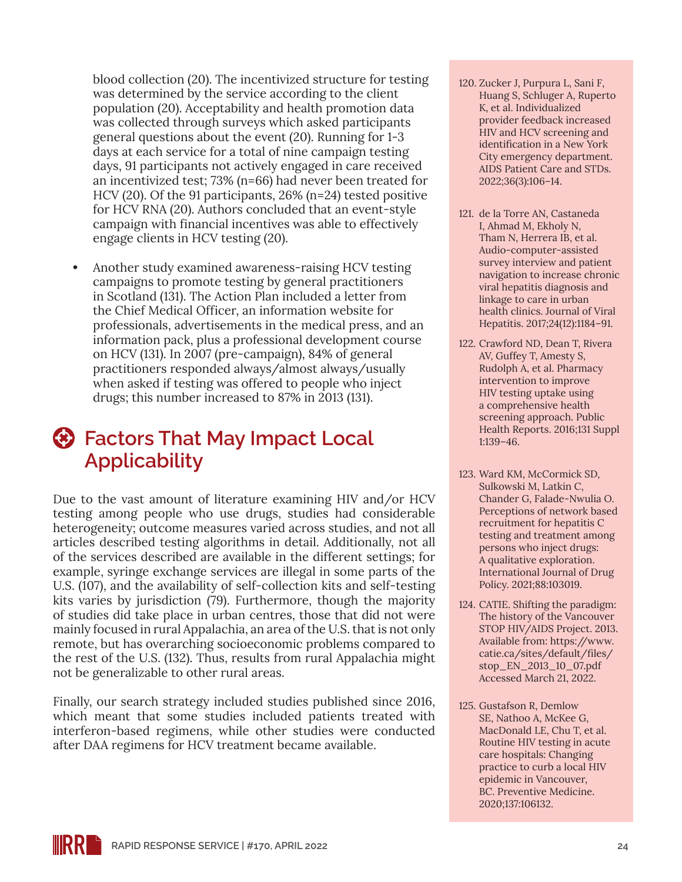blood collection (20). The incentivized structure for testing was determined by the service according to the client population (20). Acceptability and health promotion data was collected through surveys which asked participants general questions about the event (20). Running for 1-3 days at each service for a total of nine campaign testing days, 91 participants not actively engaged in care received an incentivized test; 73% (n=66) had never been treated for HCV (20). Of the 91 participants, 26% (n=24) tested positive for HCV RNA (20). Authors concluded that an event-style campaign with financial incentives was able to effectively engage clients in HCV testing (20).

**•** Another study examined awareness-raising HCV testing campaigns to promote testing by general practitioners in Scotland (131). The Action Plan included a letter from the Chief Medical Officer, an information website for professionals, advertisements in the medical press, and an information pack, plus a professional development course on HCV (131). In 2007 (pre-campaign), 84% of general practitioners responded always/almost always/usually when asked if testing was offered to people who inject drugs; this number increased to 87% in 2013 (131).

### **Factors That May Impact Local Applicability**

Due to the vast amount of literature examining HIV and/or HCV testing among people who use drugs, studies had considerable heterogeneity; outcome measures varied across studies, and not all articles described testing algorithms in detail. Additionally, not all of the services described are available in the different settings; for example, syringe exchange services are illegal in some parts of the U.S. (107), and the availability of self-collection kits and self-testing kits varies by jurisdiction (79). Furthermore, though the majority of studies did take place in urban centres, those that did not were mainly focused in rural Appalachia, an area of the U.S. that is not only remote, but has overarching socioeconomic problems compared to the rest of the U.S. (132). Thus, results from rural Appalachia might not be generalizable to other rural areas.

Finally, our search strategy included studies published since 2016, which meant that some studies included patients treated with interferon-based regimens, while other studies were conducted after DAA regimens for HCV treatment became available.

- 120. Zucker J, Purpura L, Sani F, Huang S, Schluger A, Ruperto K, et al. Individualized provider feedback increased HIV and HCV screening and identification in a New York City emergency department. AIDS Patient Care and STDs. 2022;36(3):106–14.
- 121. de la Torre AN, Castaneda I, Ahmad M, Ekholy N, Tham N, Herrera IB, et al. Audio-computer-assisted survey interview and patient navigation to increase chronic viral hepatitis diagnosis and linkage to care in urban health clinics. Journal of Viral Hepatitis. 2017;24(12):1184–91.
- 122. Crawford ND, Dean T, Rivera AV, Guffey T, Amesty S, Rudolph A, et al. Pharmacy intervention to improve HIV testing uptake using a comprehensive health screening approach. Public Health Reports. 2016;131 Suppl 1:139–46.
- 123. Ward KM, McCormick SD, Sulkowski M, Latkin C, Chander G, Falade-Nwulia O. Perceptions of network based recruitment for hepatitis C testing and treatment among persons who inject drugs: A qualitative exploration. International Journal of Drug Policy. 2021;88:103019.
- 124. CATIE. Shifting the paradigm: The history of the Vancouver STOP HIV/AIDS Project. 2013. Available from: [https://www.](https://www.catie.ca/sites/default/files/stop_EN_2013_10_07.pdf) [catie.ca/sites/default/files/](https://www.catie.ca/sites/default/files/stop_EN_2013_10_07.pdf) [stop\\_EN\\_2013\\_10\\_07.pdf](https://www.catie.ca/sites/default/files/stop_EN_2013_10_07.pdf) Accessed March 21, 2022.
- 125. Gustafson R, Demlow SE, Nathoo A, McKee G, MacDonald LE, Chu T, et al. Routine HIV testing in acute care hospitals: Changing practice to curb a local HIV epidemic in Vancouver, BC. Preventive Medicine. 2020;137:106132.